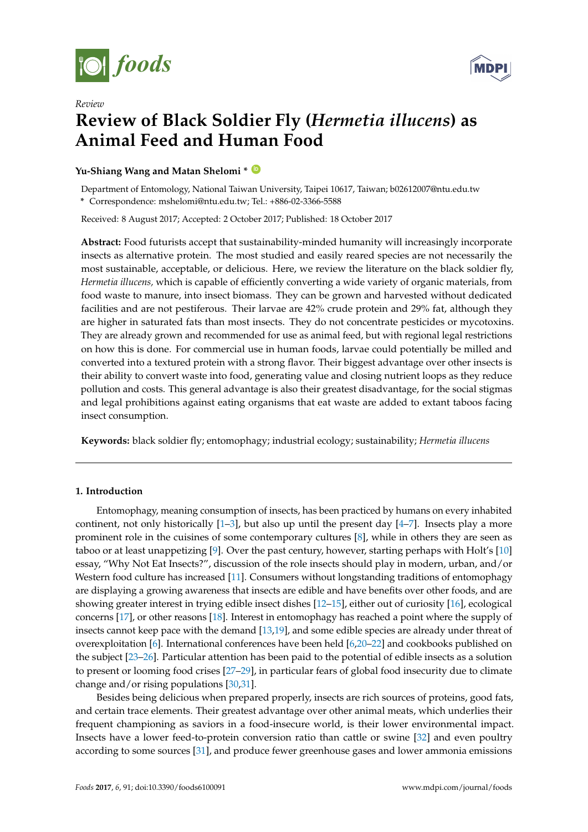

*Review*



# **Review of Black Soldier Fly (***Hermetia illucens***) as Animal Feed and Human Food**

## **Yu-Shiang Wang and Matan Shelomi \* [ID](https://orcid.org/0000-0003-4413-4097)**

Department of Entomology, National Taiwan University, Taipei 10617, Taiwan; b02612007@ntu.edu.tw **\*** Correspondence: mshelomi@ntu.edu.tw; Tel.: +886-02-3366-5588

Received: 8 August 2017; Accepted: 2 October 2017; Published: 18 October 2017

**Abstract:** Food futurists accept that sustainability-minded humanity will increasingly incorporate insects as alternative protein. The most studied and easily reared species are not necessarily the most sustainable, acceptable, or delicious. Here, we review the literature on the black soldier fly, *Hermetia illucens,* which is capable of efficiently converting a wide variety of organic materials, from food waste to manure, into insect biomass. They can be grown and harvested without dedicated facilities and are not pestiferous. Their larvae are 42% crude protein and 29% fat, although they are higher in saturated fats than most insects. They do not concentrate pesticides or mycotoxins. They are already grown and recommended for use as animal feed, but with regional legal restrictions on how this is done. For commercial use in human foods, larvae could potentially be milled and converted into a textured protein with a strong flavor. Their biggest advantage over other insects is their ability to convert waste into food, generating value and closing nutrient loops as they reduce pollution and costs. This general advantage is also their greatest disadvantage, for the social stigmas and legal prohibitions against eating organisms that eat waste are added to extant taboos facing insect consumption.

**Keywords:** black soldier fly; entomophagy; industrial ecology; sustainability; *Hermetia illucens*

# **1. Introduction**

Entomophagy, meaning consumption of insects, has been practiced by humans on every inhabited continent, not only historically  $[1-3]$  $[1-3]$ , but also up until the present day  $[4-7]$  $[4-7]$ . Insects play a more prominent role in the cuisines of some contemporary cultures [\[8\]](#page-13-4), while in others they are seen as taboo or at least unappetizing [\[9\]](#page-13-5). Over the past century, however, starting perhaps with Holt's [\[10\]](#page-13-6) essay, "Why Not Eat Insects?", discussion of the role insects should play in modern, urban, and/or Western food culture has increased [\[11\]](#page-13-7). Consumers without longstanding traditions of entomophagy are displaying a growing awareness that insects are edible and have benefits over other foods, and are showing greater interest in trying edible insect dishes [\[12–](#page-13-8)[15\]](#page-13-9), either out of curiosity [\[16\]](#page-13-10), ecological concerns [\[17\]](#page-13-11), or other reasons [\[18\]](#page-13-12). Interest in entomophagy has reached a point where the supply of insects cannot keep pace with the demand [\[13,](#page-13-13)[19\]](#page-13-14), and some edible species are already under threat of overexploitation [\[6\]](#page-13-15). International conferences have been held [\[6,](#page-13-15)[20](#page-14-0)[–22\]](#page-14-1) and cookbooks published on the subject [\[23](#page-14-2)[–26\]](#page-14-3). Particular attention has been paid to the potential of edible insects as a solution to present or looming food crises [\[27–](#page-14-4)[29\]](#page-14-5), in particular fears of global food insecurity due to climate change and/or rising populations [\[30,](#page-14-6)[31\]](#page-14-7).

Besides being delicious when prepared properly, insects are rich sources of proteins, good fats, and certain trace elements. Their greatest advantage over other animal meats, which underlies their frequent championing as saviors in a food-insecure world, is their lower environmental impact. Insects have a lower feed-to-protein conversion ratio than cattle or swine [\[32\]](#page-14-8) and even poultry according to some sources [\[31\]](#page-14-7), and produce fewer greenhouse gases and lower ammonia emissions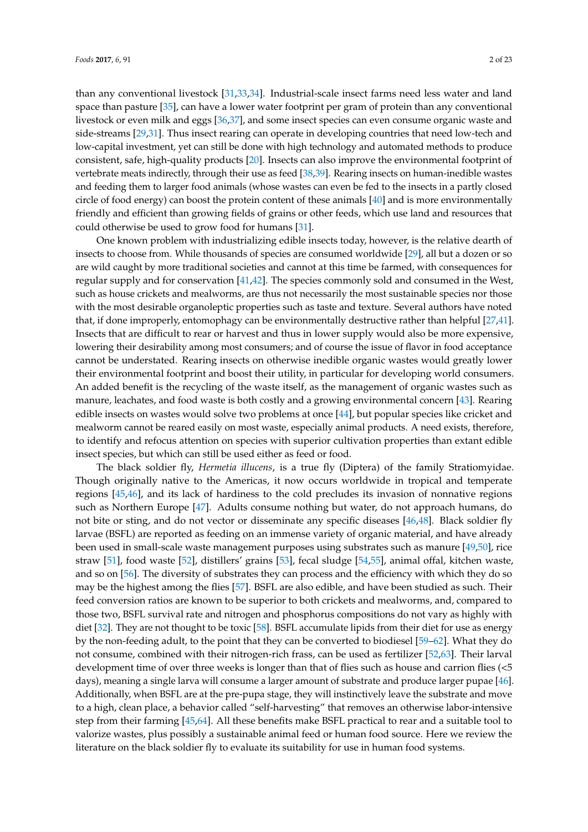than any conventional livestock [\[31,](#page-14-7)[33,](#page-14-9)[34\]](#page-14-10). Industrial-scale insect farms need less water and land space than pasture [\[35\]](#page-14-11), can have a lower water footprint per gram of protein than any conventional livestock or even milk and eggs [\[36,](#page-14-12)[37\]](#page-14-13), and some insect species can even consume organic waste and side-streams [\[29](#page-14-5)[,31\]](#page-14-7). Thus insect rearing can operate in developing countries that need low-tech and low-capital investment, yet can still be done with high technology and automated methods to produce consistent, safe, high-quality products [\[20\]](#page-14-0). Insects can also improve the environmental footprint of vertebrate meats indirectly, through their use as feed [\[38](#page-14-14)[,39\]](#page-14-15). Rearing insects on human-inedible wastes and feeding them to larger food animals (whose wastes can even be fed to the insects in a partly closed circle of food energy) can boost the protein content of these animals [\[40\]](#page-14-16) and is more environmentally friendly and efficient than growing fields of grains or other feeds, which use land and resources that

could otherwise be used to grow food for humans [\[31\]](#page-14-7).

One known problem with industrializing edible insects today, however, is the relative dearth of insects to choose from. While thousands of species are consumed worldwide [\[29\]](#page-14-5), all but a dozen or so are wild caught by more traditional societies and cannot at this time be farmed, with consequences for regular supply and for conservation [\[41,](#page-14-17)[42\]](#page-14-18). The species commonly sold and consumed in the West, such as house crickets and mealworms, are thus not necessarily the most sustainable species nor those with the most desirable organoleptic properties such as taste and texture. Several authors have noted that, if done improperly, entomophagy can be environmentally destructive rather than helpful [\[27](#page-14-4)[,41\]](#page-14-17). Insects that are difficult to rear or harvest and thus in lower supply would also be more expensive, lowering their desirability among most consumers; and of course the issue of flavor in food acceptance cannot be understated. Rearing insects on otherwise inedible organic wastes would greatly lower their environmental footprint and boost their utility, in particular for developing world consumers. An added benefit is the recycling of the waste itself, as the management of organic wastes such as manure, leachates, and food waste is both costly and a growing environmental concern [\[43\]](#page-14-19). Rearing edible insects on wastes would solve two problems at once [\[44\]](#page-14-20), but popular species like cricket and mealworm cannot be reared easily on most waste, especially animal products. A need exists, therefore, to identify and refocus attention on species with superior cultivation properties than extant edible insect species, but which can still be used either as feed or food.

The black soldier fly, *Hermetia illucens*, is a true fly (Diptera) of the family Stratiomyidae. Though originally native to the Americas, it now occurs worldwide in tropical and temperate regions [\[45,](#page-14-21)[46\]](#page-15-0), and its lack of hardiness to the cold precludes its invasion of nonnative regions such as Northern Europe [\[47\]](#page-15-1). Adults consume nothing but water, do not approach humans, do not bite or sting, and do not vector or disseminate any specific diseases [\[46](#page-15-0)[,48\]](#page-15-2). Black soldier fly larvae (BSFL) are reported as feeding on an immense variety of organic material, and have already been used in small-scale waste management purposes using substrates such as manure [\[49,](#page-15-3)[50\]](#page-15-4), rice straw [\[51\]](#page-15-5), food waste [\[52\]](#page-15-6), distillers' grains [\[53\]](#page-15-7), fecal sludge [\[54](#page-15-8)[,55\]](#page-15-9), animal offal, kitchen waste, and so on [\[56\]](#page-15-10). The diversity of substrates they can process and the efficiency with which they do so may be the highest among the flies [\[57\]](#page-15-11). BSFL are also edible, and have been studied as such. Their feed conversion ratios are known to be superior to both crickets and mealworms, and, compared to those two, BSFL survival rate and nitrogen and phosphorus compositions do not vary as highly with diet [\[32\]](#page-14-8). They are not thought to be toxic [\[58\]](#page-15-12). BSFL accumulate lipids from their diet for use as energy by the non-feeding adult, to the point that they can be converted to biodiesel [\[59](#page-15-13)[–62\]](#page-15-14). What they do not consume, combined with their nitrogen-rich frass, can be used as fertilizer [\[52,](#page-15-6)[63\]](#page-15-15). Their larval development time of over three weeks is longer than that of flies such as house and carrion flies (<5 days), meaning a single larva will consume a larger amount of substrate and produce larger pupae [\[46\]](#page-15-0). Additionally, when BSFL are at the pre-pupa stage, they will instinctively leave the substrate and move to a high, clean place, a behavior called "self-harvesting" that removes an otherwise labor-intensive step from their farming [\[45](#page-14-21)[,64\]](#page-15-16). All these benefits make BSFL practical to rear and a suitable tool to valorize wastes, plus possibly a sustainable animal feed or human food source. Here we review the literature on the black soldier fly to evaluate its suitability for use in human food systems.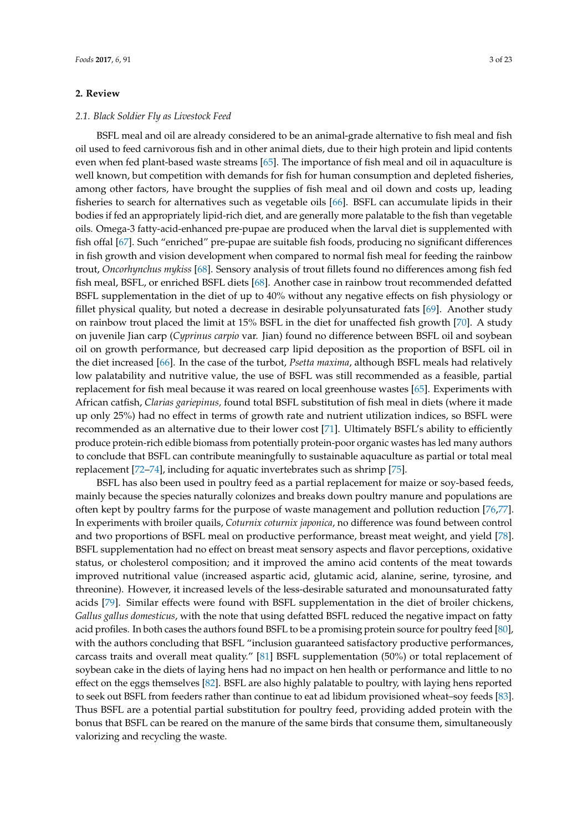## **2. Review**

## *2.1. Black Soldier Fly as Livestock Feed*

BSFL meal and oil are already considered to be an animal-grade alternative to fish meal and fish oil used to feed carnivorous fish and in other animal diets, due to their high protein and lipid contents even when fed plant-based waste streams [\[65\]](#page-15-17). The importance of fish meal and oil in aquaculture is well known, but competition with demands for fish for human consumption and depleted fisheries, among other factors, have brought the supplies of fish meal and oil down and costs up, leading fisheries to search for alternatives such as vegetable oils [\[66\]](#page-16-0). BSFL can accumulate lipids in their bodies if fed an appropriately lipid-rich diet, and are generally more palatable to the fish than vegetable oils. Omega-3 fatty-acid-enhanced pre-pupae are produced when the larval diet is supplemented with fish offal [\[67\]](#page-16-1). Such "enriched" pre-pupae are suitable fish foods, producing no significant differences in fish growth and vision development when compared to normal fish meal for feeding the rainbow trout, *Oncorhynchus mykiss* [\[68\]](#page-16-2). Sensory analysis of trout fillets found no differences among fish fed fish meal, BSFL, or enriched BSFL diets [\[68\]](#page-16-2). Another case in rainbow trout recommended defatted BSFL supplementation in the diet of up to 40% without any negative effects on fish physiology or fillet physical quality, but noted a decrease in desirable polyunsaturated fats [\[69\]](#page-16-3). Another study on rainbow trout placed the limit at 15% BSFL in the diet for unaffected fish growth [\[70\]](#page-16-4). A study on juvenile Jian carp (*Cyprinus carpio* var. Jian) found no difference between BSFL oil and soybean oil on growth performance, but decreased carp lipid deposition as the proportion of BSFL oil in the diet increased [\[66\]](#page-16-0). In the case of the turbot, *Psetta maxima*, although BSFL meals had relatively low palatability and nutritive value, the use of BSFL was still recommended as a feasible, partial replacement for fish meal because it was reared on local greenhouse wastes [\[65\]](#page-15-17). Experiments with African catfish, *Clarias gariepinus,* found total BSFL substitution of fish meal in diets (where it made up only 25%) had no effect in terms of growth rate and nutrient utilization indices, so BSFL were recommended as an alternative due to their lower cost [\[71\]](#page-16-5). Ultimately BSFL's ability to efficiently produce protein-rich edible biomass from potentially protein-poor organic wastes has led many authors to conclude that BSFL can contribute meaningfully to sustainable aquaculture as partial or total meal replacement [\[72](#page-16-6)[–74\]](#page-16-7), including for aquatic invertebrates such as shrimp [\[75\]](#page-16-8).

BSFL has also been used in poultry feed as a partial replacement for maize or soy-based feeds, mainly because the species naturally colonizes and breaks down poultry manure and populations are often kept by poultry farms for the purpose of waste management and pollution reduction [\[76,](#page-16-9)[77\]](#page-16-10). In experiments with broiler quails, *Coturnix coturnix japonica*, no difference was found between control and two proportions of BSFL meal on productive performance, breast meat weight, and yield [\[78\]](#page-16-11). BSFL supplementation had no effect on breast meat sensory aspects and flavor perceptions, oxidative status, or cholesterol composition; and it improved the amino acid contents of the meat towards improved nutritional value (increased aspartic acid, glutamic acid, alanine, serine, tyrosine, and threonine). However, it increased levels of the less-desirable saturated and monounsaturated fatty acids [\[79\]](#page-16-12). Similar effects were found with BSFL supplementation in the diet of broiler chickens, *Gallus gallus domesticus*, with the note that using defatted BSFL reduced the negative impact on fatty acid profiles. In both cases the authors found BSFL to be a promising protein source for poultry feed [\[80\]](#page-16-13), with the authors concluding that BSFL "inclusion guaranteed satisfactory productive performances, carcass traits and overall meat quality." [\[81\]](#page-16-14) BSFL supplementation (50%) or total replacement of soybean cake in the diets of laying hens had no impact on hen health or performance and little to no effect on the eggs themselves [\[82\]](#page-16-15). BSFL are also highly palatable to poultry, with laying hens reported to seek out BSFL from feeders rather than continue to eat ad libidum provisioned wheat–soy feeds [\[83\]](#page-16-16). Thus BSFL are a potential partial substitution for poultry feed, providing added protein with the bonus that BSFL can be reared on the manure of the same birds that consume them, simultaneously valorizing and recycling the waste.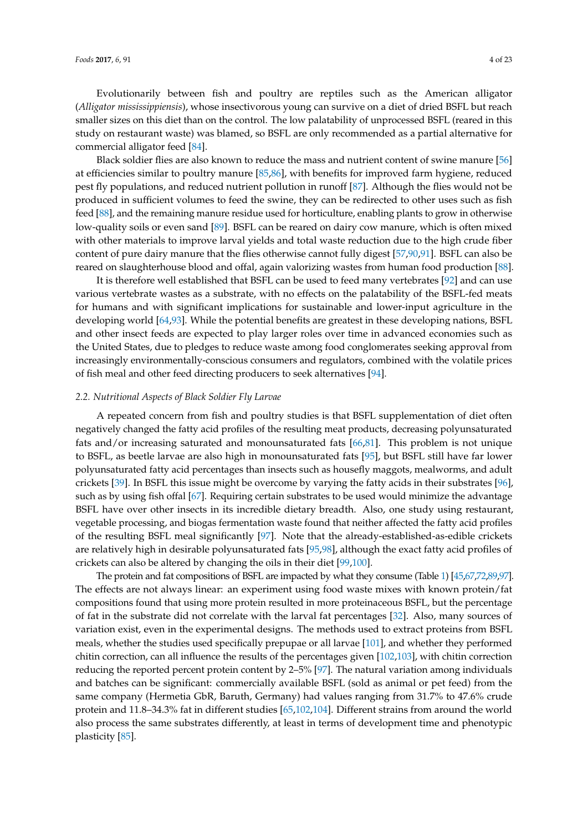Evolutionarily between fish and poultry are reptiles such as the American alligator (*Alligator mississippiensis*), whose insectivorous young can survive on a diet of dried BSFL but reach smaller sizes on this diet than on the control. The low palatability of unprocessed BSFL (reared in this study on restaurant waste) was blamed, so BSFL are only recommended as a partial alternative for commercial alligator feed [\[84\]](#page-17-0).

Black soldier flies are also known to reduce the mass and nutrient content of swine manure [\[56\]](#page-15-10) at efficiencies similar to poultry manure [\[85,](#page-17-1)[86\]](#page-17-2), with benefits for improved farm hygiene, reduced pest fly populations, and reduced nutrient pollution in runoff [\[87\]](#page-17-3). Although the flies would not be produced in sufficient volumes to feed the swine, they can be redirected to other uses such as fish feed [\[88\]](#page-17-4), and the remaining manure residue used for horticulture, enabling plants to grow in otherwise low-quality soils or even sand [\[89\]](#page-17-5). BSFL can be reared on dairy cow manure, which is often mixed with other materials to improve larval yields and total waste reduction due to the high crude fiber content of pure dairy manure that the flies otherwise cannot fully digest [\[57](#page-15-11)[,90](#page-17-6)[,91\]](#page-17-7). BSFL can also be reared on slaughterhouse blood and offal, again valorizing wastes from human food production [\[88\]](#page-17-4).

It is therefore well established that BSFL can be used to feed many vertebrates [\[92\]](#page-17-8) and can use various vertebrate wastes as a substrate, with no effects on the palatability of the BSFL-fed meats for humans and with significant implications for sustainable and lower-input agriculture in the developing world [\[64](#page-15-16)[,93\]](#page-17-9). While the potential benefits are greatest in these developing nations, BSFL and other insect feeds are expected to play larger roles over time in advanced economies such as the United States, due to pledges to reduce waste among food conglomerates seeking approval from increasingly environmentally-conscious consumers and regulators, combined with the volatile prices of fish meal and other feed directing producers to seek alternatives [\[94\]](#page-17-10).

#### *2.2. Nutritional Aspects of Black Soldier Fly Larvae*

A repeated concern from fish and poultry studies is that BSFL supplementation of diet often negatively changed the fatty acid profiles of the resulting meat products, decreasing polyunsaturated fats and/or increasing saturated and monounsaturated fats [\[66](#page-16-0)[,81\]](#page-16-14). This problem is not unique to BSFL, as beetle larvae are also high in monounsaturated fats [\[95\]](#page-17-11), but BSFL still have far lower polyunsaturated fatty acid percentages than insects such as housefly maggots, mealworms, and adult crickets [\[39\]](#page-14-15). In BSFL this issue might be overcome by varying the fatty acids in their substrates [\[96\]](#page-17-12), such as by using fish offal [\[67\]](#page-16-1). Requiring certain substrates to be used would minimize the advantage BSFL have over other insects in its incredible dietary breadth. Also, one study using restaurant, vegetable processing, and biogas fermentation waste found that neither affected the fatty acid profiles of the resulting BSFL meal significantly [\[97\]](#page-17-13). Note that the already-established-as-edible crickets are relatively high in desirable polyunsaturated fats [\[95,](#page-17-11)[98\]](#page-17-14), although the exact fatty acid profiles of crickets can also be altered by changing the oils in their diet [\[99,](#page-17-15)[100\]](#page-17-16).

The protein and fat compositions of BSFL are impacted by what they consume (Table [1\)](#page-6-0) [\[45](#page-14-21)[,67,](#page-16-1)[72](#page-16-6)[,89,](#page-17-5)[97\]](#page-17-13). The effects are not always linear: an experiment using food waste mixes with known protein/fat compositions found that using more protein resulted in more proteinaceous BSFL, but the percentage of fat in the substrate did not correlate with the larval fat percentages [\[32\]](#page-14-8). Also, many sources of variation exist, even in the experimental designs. The methods used to extract proteins from BSFL meals, whether the studies used specifically prepupae or all larvae [\[101\]](#page-17-17), and whether they performed chitin correction, can all influence the results of the percentages given [\[102,](#page-17-18)[103\]](#page-17-19), with chitin correction reducing the reported percent protein content by 2–5% [\[97\]](#page-17-13). The natural variation among individuals and batches can be significant: commercially available BSFL (sold as animal or pet feed) from the same company (Hermetia GbR, Baruth, Germany) had values ranging from 31.7% to 47.6% crude protein and 11.8–34.3% fat in different studies [\[65](#page-15-17)[,102](#page-17-18)[,104\]](#page-18-0). Different strains from around the world also process the same substrates differently, at least in terms of development time and phenotypic plasticity [\[85\]](#page-17-1).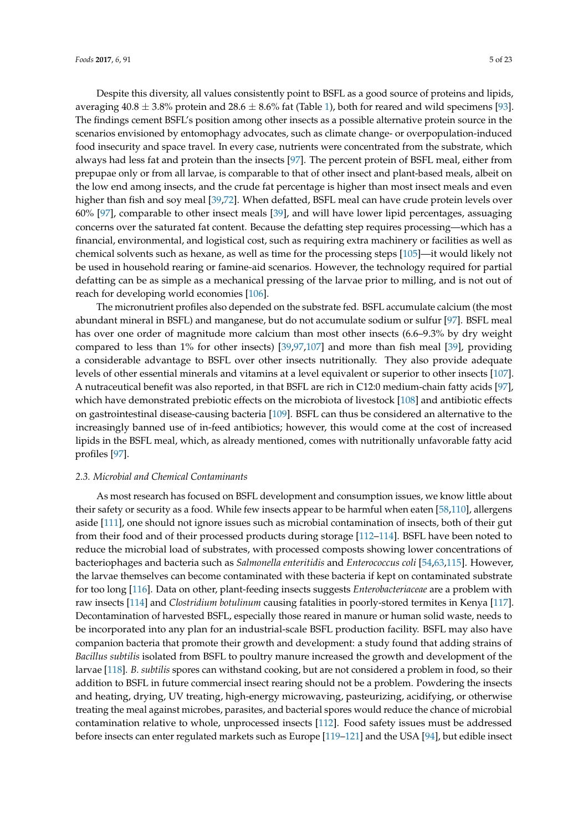Despite this diversity, all values consistently point to BSFL as a good source of proteins and lipids, averaging  $40.8 \pm 3.8\%$  protein and  $28.6 \pm 8.6\%$  fat (Table [1\)](#page-6-0), both for reared and wild specimens [\[93\]](#page-17-9). The findings cement BSFL's position among other insects as a possible alternative protein source in the scenarios envisioned by entomophagy advocates, such as climate change- or overpopulation-induced food insecurity and space travel. In every case, nutrients were concentrated from the substrate, which always had less fat and protein than the insects [\[97\]](#page-17-13). The percent protein of BSFL meal, either from prepupae only or from all larvae, is comparable to that of other insect and plant-based meals, albeit on the low end among insects, and the crude fat percentage is higher than most insect meals and even higher than fish and soy meal [\[39,](#page-14-15)[72\]](#page-16-6). When defatted, BSFL meal can have crude protein levels over 60% [\[97\]](#page-17-13), comparable to other insect meals [\[39\]](#page-14-15), and will have lower lipid percentages, assuaging concerns over the saturated fat content. Because the defatting step requires processing—which has a financial, environmental, and logistical cost, such as requiring extra machinery or facilities as well as chemical solvents such as hexane, as well as time for the processing steps [\[105\]](#page-18-1)—it would likely not be used in household rearing or famine-aid scenarios. However, the technology required for partial defatting can be as simple as a mechanical pressing of the larvae prior to milling, and is not out of reach for developing world economies [\[106\]](#page-18-2).

The micronutrient profiles also depended on the substrate fed. BSFL accumulate calcium (the most abundant mineral in BSFL) and manganese, but do not accumulate sodium or sulfur [\[97\]](#page-17-13). BSFL meal has over one order of magnitude more calcium than most other insects (6.6–9.3% by dry weight compared to less than 1% for other insects) [\[39,](#page-14-15)[97,](#page-17-13)[107\]](#page-18-3) and more than fish meal [\[39\]](#page-14-15), providing a considerable advantage to BSFL over other insects nutritionally. They also provide adequate levels of other essential minerals and vitamins at a level equivalent or superior to other insects [\[107\]](#page-18-3). A nutraceutical benefit was also reported, in that BSFL are rich in C12:0 medium-chain fatty acids [\[97\]](#page-17-13), which have demonstrated prebiotic effects on the microbiota of livestock [\[108\]](#page-18-4) and antibiotic effects on gastrointestinal disease-causing bacteria [\[109\]](#page-18-5). BSFL can thus be considered an alternative to the increasingly banned use of in-feed antibiotics; however, this would come at the cost of increased lipids in the BSFL meal, which, as already mentioned, comes with nutritionally unfavorable fatty acid profiles [\[97\]](#page-17-13).

#### *2.3. Microbial and Chemical Contaminants*

As most research has focused on BSFL development and consumption issues, we know little about their safety or security as a food. While few insects appear to be harmful when eaten [\[58](#page-15-12)[,110\]](#page-18-6), allergens aside [\[111\]](#page-18-7), one should not ignore issues such as microbial contamination of insects, both of their gut from their food and of their processed products during storage [\[112–](#page-18-8)[114\]](#page-18-9). BSFL have been noted to reduce the microbial load of substrates, with processed composts showing lower concentrations of bacteriophages and bacteria such as *Salmonella enteritidis* and *Enterococcus coli* [\[54](#page-15-8)[,63](#page-15-15)[,115\]](#page-18-10). However, the larvae themselves can become contaminated with these bacteria if kept on contaminated substrate for too long [\[116\]](#page-18-11). Data on other, plant-feeding insects suggests *Enterobacteriaceae* are a problem with raw insects [\[114\]](#page-18-9) and *Clostridium botulinum* causing fatalities in poorly-stored termites in Kenya [\[117\]](#page-18-12). Decontamination of harvested BSFL, especially those reared in manure or human solid waste, needs to be incorporated into any plan for an industrial-scale BSFL production facility. BSFL may also have companion bacteria that promote their growth and development: a study found that adding strains of *Bacillus subtilis* isolated from BSFL to poultry manure increased the growth and development of the larvae [\[118\]](#page-18-13). *B. subtilis* spores can withstand cooking, but are not considered a problem in food, so their addition to BSFL in future commercial insect rearing should not be a problem. Powdering the insects and heating, drying, UV treating, high-energy microwaving, pasteurizing, acidifying, or otherwise treating the meal against microbes, parasites, and bacterial spores would reduce the chance of microbial contamination relative to whole, unprocessed insects [\[112\]](#page-18-8). Food safety issues must be addressed before insects can enter regulated markets such as Europe [\[119–](#page-18-14)[121\]](#page-18-15) and the USA [\[94\]](#page-17-10), but edible insect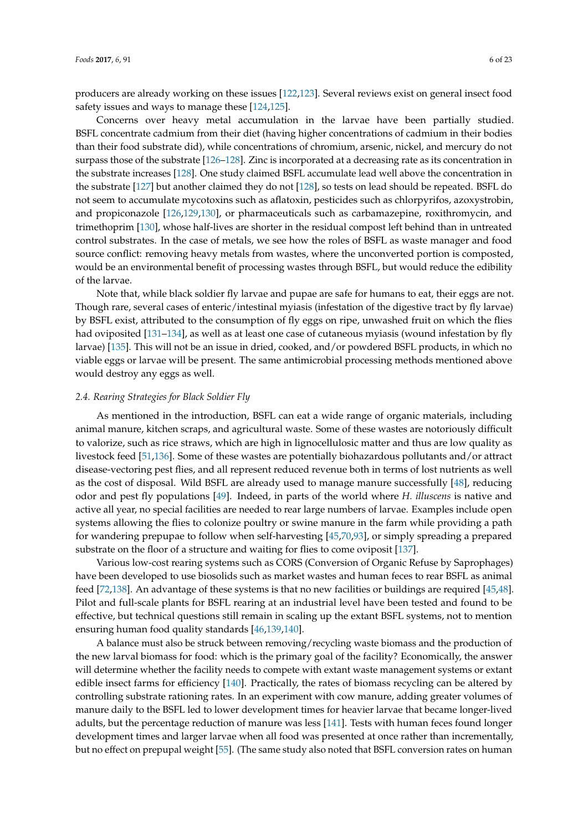producers are already working on these issues [\[122](#page-18-16)[,123\]](#page-18-17). Several reviews exist on general insect food safety issues and ways to manage these [\[124](#page-19-0)[,125\]](#page-19-1).

Concerns over heavy metal accumulation in the larvae have been partially studied. BSFL concentrate cadmium from their diet (having higher concentrations of cadmium in their bodies than their food substrate did), while concentrations of chromium, arsenic, nickel, and mercury do not surpass those of the substrate [\[126](#page-19-2)[–128\]](#page-19-3). Zinc is incorporated at a decreasing rate as its concentration in the substrate increases [\[128\]](#page-19-3). One study claimed BSFL accumulate lead well above the concentration in the substrate [\[127\]](#page-19-4) but another claimed they do not [\[128\]](#page-19-3), so tests on lead should be repeated. BSFL do not seem to accumulate mycotoxins such as aflatoxin, pesticides such as chlorpyrifos, azoxystrobin, and propiconazole [\[126](#page-19-2)[,129](#page-19-5)[,130\]](#page-19-6), or pharmaceuticals such as carbamazepine, roxithromycin, and trimethoprim [\[130\]](#page-19-6), whose half-lives are shorter in the residual compost left behind than in untreated control substrates. In the case of metals, we see how the roles of BSFL as waste manager and food source conflict: removing heavy metals from wastes, where the unconverted portion is composted, would be an environmental benefit of processing wastes through BSFL, but would reduce the edibility of the larvae.

Note that, while black soldier fly larvae and pupae are safe for humans to eat, their eggs are not. Though rare, several cases of enteric/intestinal myiasis (infestation of the digestive tract by fly larvae) by BSFL exist, attributed to the consumption of fly eggs on ripe, unwashed fruit on which the flies had oviposited [\[131–](#page-19-7)[134\]](#page-19-8), as well as at least one case of cutaneous myiasis (wound infestation by fly larvae) [\[135\]](#page-19-9). This will not be an issue in dried, cooked, and/or powdered BSFL products, in which no viable eggs or larvae will be present. The same antimicrobial processing methods mentioned above would destroy any eggs as well.

#### *2.4. Rearing Strategies for Black Soldier Fly*

As mentioned in the introduction, BSFL can eat a wide range of organic materials, including animal manure, kitchen scraps, and agricultural waste. Some of these wastes are notoriously difficult to valorize, such as rice straws, which are high in lignocellulosic matter and thus are low quality as livestock feed [\[51,](#page-15-5)[136\]](#page-19-10). Some of these wastes are potentially biohazardous pollutants and/or attract disease-vectoring pest flies, and all represent reduced revenue both in terms of lost nutrients as well as the cost of disposal. Wild BSFL are already used to manage manure successfully [\[48\]](#page-15-2), reducing odor and pest fly populations [\[49\]](#page-15-3). Indeed, in parts of the world where *H. illuscens* is native and active all year, no special facilities are needed to rear large numbers of larvae. Examples include open systems allowing the flies to colonize poultry or swine manure in the farm while providing a path for wandering prepupae to follow when self-harvesting [\[45,](#page-14-21)[70,](#page-16-4)[93\]](#page-17-9), or simply spreading a prepared substrate on the floor of a structure and waiting for flies to come oviposit [\[137\]](#page-19-11).

Various low-cost rearing systems such as CORS (Conversion of Organic Refuse by Saprophages) have been developed to use biosolids such as market wastes and human feces to rear BSFL as animal feed [\[72,](#page-16-6)[138\]](#page-19-12). An advantage of these systems is that no new facilities or buildings are required [\[45](#page-14-21)[,48\]](#page-15-2). Pilot and full-scale plants for BSFL rearing at an industrial level have been tested and found to be effective, but technical questions still remain in scaling up the extant BSFL systems, not to mention ensuring human food quality standards [\[46](#page-15-0)[,139](#page-19-13)[,140\]](#page-19-14).

A balance must also be struck between removing/recycling waste biomass and the production of the new larval biomass for food: which is the primary goal of the facility? Economically, the answer will determine whether the facility needs to compete with extant waste management systems or extant edible insect farms for efficiency [\[140\]](#page-19-14). Practically, the rates of biomass recycling can be altered by controlling substrate rationing rates. In an experiment with cow manure, adding greater volumes of manure daily to the BSFL led to lower development times for heavier larvae that became longer-lived adults, but the percentage reduction of manure was less [\[141\]](#page-19-15). Tests with human feces found longer development times and larger larvae when all food was presented at once rather than incrementally, but no effect on prepupal weight [\[55\]](#page-15-9). (The same study also noted that BSFL conversion rates on human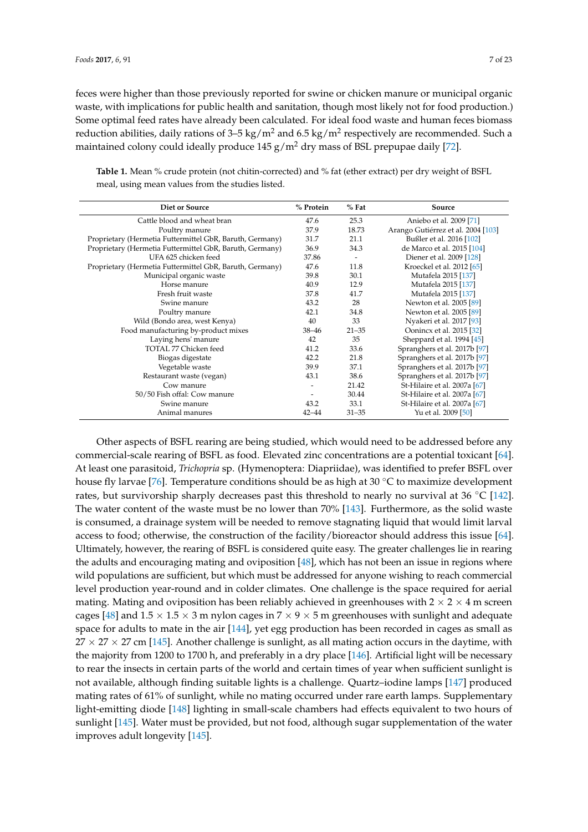feces were higher than those previously reported for swine or chicken manure or municipal organic waste, with implications for public health and sanitation, though most likely not for food production.) Some optimal feed rates have already been calculated. For ideal food waste and human feces biomass reduction abilities, daily rations of 3–5 kg/m<sup>2</sup> and 6.5 kg/m<sup>2</sup> respectively are recommended. Such a maintained colony could ideally produce 145  $g/m^2$  dry mass of BSL prepupae daily [\[72\]](#page-16-6).

| <b>Diet or Source</b>                                    | % Protein | $%$ Fat                  | Source                             |
|----------------------------------------------------------|-----------|--------------------------|------------------------------------|
| Cattle blood and wheat bran                              | 47.6      | 25.3                     | Aniebo et al. 2009 [71]            |
| Poultry manure                                           | 37.9      | 18.73                    | Arango Gutiérrez et al. 2004 [103] |
| Proprietary (Hermetia Futtermittel GbR, Baruth, Germany) | 31.7      | 21.1                     | Bußler et al. 2016 [102]           |
| Proprietary (Hermetia Futtermittel GbR, Baruth, Germany) | 36.9      | 34.3                     | de Marco et al. 2015 [104]         |
| UFA 625 chicken feed                                     | 37.86     | $\overline{\phantom{a}}$ | Diener et al. 2009 [128]           |
| Proprietary (Hermetia Futtermittel GbR, Baruth, Germany) | 47.6      | 11.8                     | Kroeckel et al. 2012 [65]          |
| Municipal organic waste                                  | 39.8      | 30.1                     | Mutafela 2015 [137]                |
| Horse manure                                             | 40.9      | 12.9                     | Mutafela 2015 [137]                |
| Fresh fruit waste                                        | 37.8      | 41.7                     | Mutafela 2015 [137]                |
| Swine manure                                             | 43.2      | 28                       | Newton et al. 2005 [89]            |
| Poultry manure                                           | 42.1      | 34.8                     | Newton et al. 2005 [89]            |
| Wild (Bondo area, west Kenya)                            | 40        | 33                       | Nyakeri et al. 2017 [93]           |
| Food manufacturing by-product mixes                      | $38 - 46$ | $21 - 35$                | Oonincx et al. 2015 [32]           |
| Laying hens' manure                                      | 42        | 35                       | Sheppard et al. 1994 [45]          |
| TOTAL 77 Chicken feed                                    | 41.2      | 33.6                     | Spranghers et al. 2017b [97]       |
| Biogas digestate                                         | 42.2      | 21.8                     | Spranghers et al. 2017b [97]       |
| Vegetable waste                                          | 39.9      | 37.1                     | Spranghers et al. 2017b [97]       |
| Restaurant waste (vegan)                                 | 43.1      | 38.6                     | Spranghers et al. 2017b [97]       |
| Cow manure                                               |           | 21.42                    | St-Hilaire et al. 2007a [67]       |
| 50/50 Fish offal: Cow manure                             |           | 30.44                    | St-Hilaire et al. 2007a [67]       |
| Swine manure                                             | 43.2      | 33.1                     | St-Hilaire et al. 2007a [67]       |
| Animal manures                                           | $42 - 44$ | $31 - 35$                | Yu et al. 2009 [50]                |

<span id="page-6-0"></span>**Table 1.** Mean % crude protein (not chitin-corrected) and % fat (ether extract) per dry weight of BSFL meal, using mean values from the studies listed.

Other aspects of BSFL rearing are being studied, which would need to be addressed before any commercial-scale rearing of BSFL as food. Elevated zinc concentrations are a potential toxicant [\[64\]](#page-15-16). At least one parasitoid, *Trichopria* sp. (Hymenoptera: Diapriidae), was identified to prefer BSFL over house fly larvae [\[76\]](#page-16-9). Temperature conditions should be as high at 30 ◦C to maximize development rates, but survivorship sharply decreases past this threshold to nearly no survival at 36 ◦C [\[142\]](#page-19-16). The water content of the waste must be no lower than 70% [\[143\]](#page-19-17). Furthermore, as the solid waste is consumed, a drainage system will be needed to remove stagnating liquid that would limit larval access to food; otherwise, the construction of the facility/bioreactor should address this issue [\[64\]](#page-15-16). Ultimately, however, the rearing of BSFL is considered quite easy. The greater challenges lie in rearing the adults and encouraging mating and oviposition [\[48\]](#page-15-2), which has not been an issue in regions where wild populations are sufficient, but which must be addressed for anyone wishing to reach commercial level production year-round and in colder climates. One challenge is the space required for aerial mating. Mating and oviposition has been reliably achieved in greenhouses with  $2 \times 2 \times 4$  m screen cages [\[48\]](#page-15-2) and  $1.5 \times 1.5 \times 3$  m nylon cages in  $7 \times 9 \times 5$  m greenhouses with sunlight and adequate space for adults to mate in the air [\[144\]](#page-19-18), yet egg production has been recorded in cages as small as  $27 \times 27 \times 27$  cm [\[145\]](#page-20-0). Another challenge is sunlight, as all mating action occurs in the daytime, with the majority from 1200 to 1700 h, and preferably in a dry place [\[146\]](#page-20-1). Artificial light will be necessary to rear the insects in certain parts of the world and certain times of year when sufficient sunlight is not available, although finding suitable lights is a challenge. Quartz–iodine lamps [\[147\]](#page-20-2) produced mating rates of 61% of sunlight, while no mating occurred under rare earth lamps. Supplementary light-emitting diode [\[148\]](#page-20-3) lighting in small-scale chambers had effects equivalent to two hours of sunlight [\[145\]](#page-20-0). Water must be provided, but not food, although sugar supplementation of the water improves adult longevity [\[145\]](#page-20-0).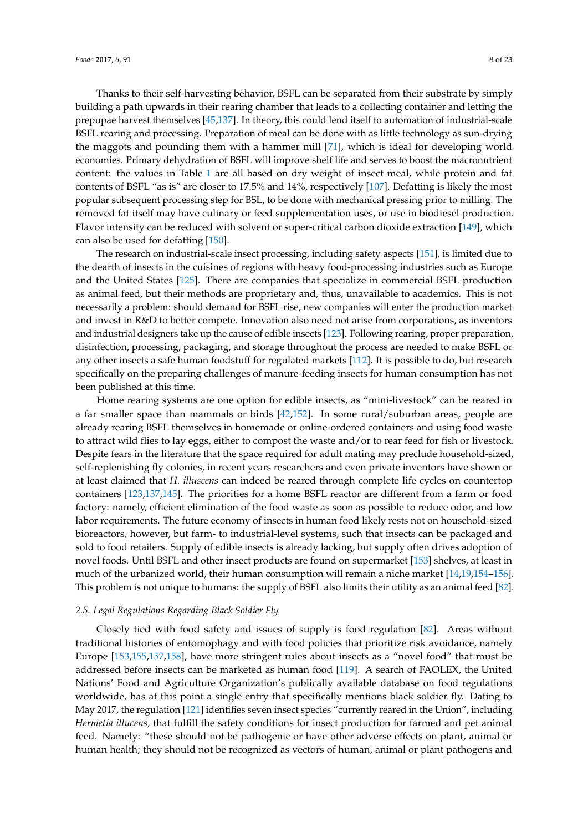Thanks to their self-harvesting behavior, BSFL can be separated from their substrate by simply building a path upwards in their rearing chamber that leads to a collecting container and letting the prepupae harvest themselves [\[45](#page-14-21)[,137\]](#page-19-11). In theory, this could lend itself to automation of industrial-scale BSFL rearing and processing. Preparation of meal can be done with as little technology as sun-drying the maggots and pounding them with a hammer mill [\[71\]](#page-16-5), which is ideal for developing world economies. Primary dehydration of BSFL will improve shelf life and serves to boost the macronutrient content: the values in Table [1](#page-6-0) are all based on dry weight of insect meal, while protein and fat contents of BSFL "as is" are closer to 17.5% and 14%, respectively [\[107\]](#page-18-3). Defatting is likely the most popular subsequent processing step for BSL, to be done with mechanical pressing prior to milling. The removed fat itself may have culinary or feed supplementation uses, or use in biodiesel production. Flavor intensity can be reduced with solvent or super-critical carbon dioxide extraction [\[149\]](#page-20-4), which can also be used for defatting [\[150\]](#page-20-5).

The research on industrial-scale insect processing, including safety aspects [\[151\]](#page-20-6), is limited due to the dearth of insects in the cuisines of regions with heavy food-processing industries such as Europe and the United States [\[125\]](#page-19-1). There are companies that specialize in commercial BSFL production as animal feed, but their methods are proprietary and, thus, unavailable to academics. This is not necessarily a problem: should demand for BSFL rise, new companies will enter the production market and invest in R&D to better compete. Innovation also need not arise from corporations, as inventors and industrial designers take up the cause of edible insects [\[123\]](#page-18-17). Following rearing, proper preparation, disinfection, processing, packaging, and storage throughout the process are needed to make BSFL or any other insects a safe human foodstuff for regulated markets [\[112\]](#page-18-8). It is possible to do, but research specifically on the preparing challenges of manure-feeding insects for human consumption has not been published at this time.

Home rearing systems are one option for edible insects, as "mini-livestock" can be reared in a far smaller space than mammals or birds [\[42](#page-14-18)[,152\]](#page-20-7). In some rural/suburban areas, people are already rearing BSFL themselves in homemade or online-ordered containers and using food waste to attract wild flies to lay eggs, either to compost the waste and/or to rear feed for fish or livestock. Despite fears in the literature that the space required for adult mating may preclude household-sized, self-replenishing fly colonies, in recent years researchers and even private inventors have shown or at least claimed that *H. illuscens* can indeed be reared through complete life cycles on countertop containers [\[123](#page-18-17)[,137,](#page-19-11)[145\]](#page-20-0). The priorities for a home BSFL reactor are different from a farm or food factory: namely, efficient elimination of the food waste as soon as possible to reduce odor, and low labor requirements. The future economy of insects in human food likely rests not on household-sized bioreactors, however, but farm- to industrial-level systems, such that insects can be packaged and sold to food retailers. Supply of edible insects is already lacking, but supply often drives adoption of novel foods. Until BSFL and other insect products are found on supermarket [\[153\]](#page-20-8) shelves, at least in much of the urbanized world, their human consumption will remain a niche market [\[14](#page-13-16)[,19,](#page-13-14)[154–](#page-20-9)[156\]](#page-20-10). This problem is not unique to humans: the supply of BSFL also limits their utility as an animal feed [\[82\]](#page-16-15).

## *2.5. Legal Regulations Regarding Black Soldier Fly*

Closely tied with food safety and issues of supply is food regulation [\[82\]](#page-16-15). Areas without traditional histories of entomophagy and with food policies that prioritize risk avoidance, namely Europe [\[153,](#page-20-8)[155](#page-20-11)[,157,](#page-20-12)[158\]](#page-20-13), have more stringent rules about insects as a "novel food" that must be addressed before insects can be marketed as human food [\[119\]](#page-18-14). A search of FAOLEX, the United Nations' Food and Agriculture Organization's publically available database on food regulations worldwide, has at this point a single entry that specifically mentions black soldier fly. Dating to May 2017, the regulation [\[121\]](#page-18-15) identifies seven insect species "currently reared in the Union", including *Hermetia illucens,* that fulfill the safety conditions for insect production for farmed and pet animal feed. Namely: "these should not be pathogenic or have other adverse effects on plant, animal or human health; they should not be recognized as vectors of human, animal or plant pathogens and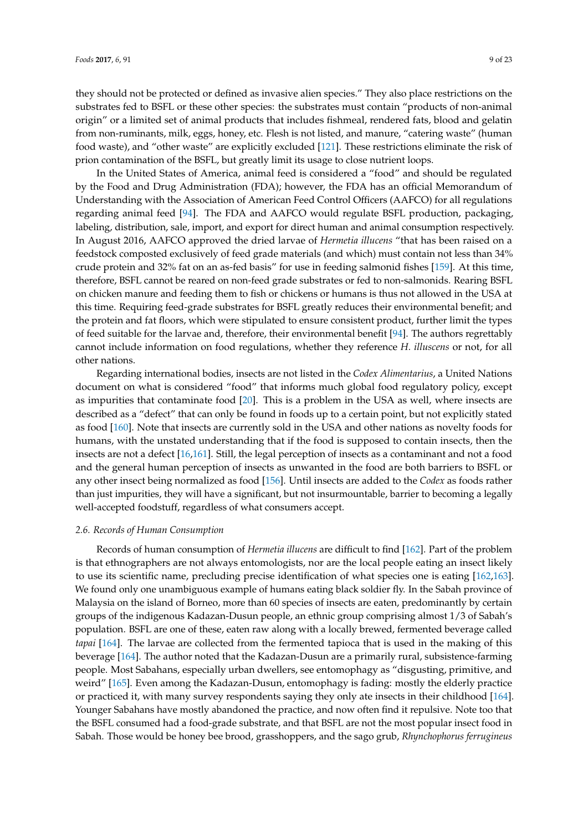they should not be protected or defined as invasive alien species." They also place restrictions on the substrates fed to BSFL or these other species: the substrates must contain "products of non-animal origin" or a limited set of animal products that includes fishmeal, rendered fats, blood and gelatin from non-ruminants, milk, eggs, honey, etc. Flesh is not listed, and manure, "catering waste" (human food waste), and "other waste" are explicitly excluded [\[121\]](#page-18-15). These restrictions eliminate the risk of prion contamination of the BSFL, but greatly limit its usage to close nutrient loops.

In the United States of America, animal feed is considered a "food" and should be regulated by the Food and Drug Administration (FDA); however, the FDA has an official Memorandum of Understanding with the Association of American Feed Control Officers (AAFCO) for all regulations regarding animal feed [\[94\]](#page-17-10). The FDA and AAFCO would regulate BSFL production, packaging, labeling, distribution, sale, import, and export for direct human and animal consumption respectively. In August 2016, AAFCO approved the dried larvae of *Hermetia illucens* "that has been raised on a feedstock composted exclusively of feed grade materials (and which) must contain not less than 34% crude protein and 32% fat on an as-fed basis" for use in feeding salmonid fishes [\[159\]](#page-20-14). At this time, therefore, BSFL cannot be reared on non-feed grade substrates or fed to non-salmonids. Rearing BSFL on chicken manure and feeding them to fish or chickens or humans is thus not allowed in the USA at this time. Requiring feed-grade substrates for BSFL greatly reduces their environmental benefit; and the protein and fat floors, which were stipulated to ensure consistent product, further limit the types of feed suitable for the larvae and, therefore, their environmental benefit [\[94\]](#page-17-10). The authors regrettably cannot include information on food regulations, whether they reference *H. illuscens* or not, for all other nations.

Regarding international bodies, insects are not listed in the *Codex Alimentarius*, a United Nations document on what is considered "food" that informs much global food regulatory policy, except as impurities that contaminate food [\[20\]](#page-14-0). This is a problem in the USA as well, where insects are described as a "defect" that can only be found in foods up to a certain point, but not explicitly stated as food [\[160\]](#page-20-15). Note that insects are currently sold in the USA and other nations as novelty foods for humans, with the unstated understanding that if the food is supposed to contain insects, then the insects are not a defect [\[16,](#page-13-10)[161\]](#page-20-16). Still, the legal perception of insects as a contaminant and not a food and the general human perception of insects as unwanted in the food are both barriers to BSFL or any other insect being normalized as food [\[156\]](#page-20-10). Until insects are added to the *Codex* as foods rather than just impurities, they will have a significant, but not insurmountable, barrier to becoming a legally well-accepted foodstuff, regardless of what consumers accept.

#### *2.6. Records of Human Consumption*

Records of human consumption of *Hermetia illucens* are difficult to find [\[162\]](#page-20-17). Part of the problem is that ethnographers are not always entomologists, nor are the local people eating an insect likely to use its scientific name, precluding precise identification of what species one is eating [\[162,](#page-20-17)[163\]](#page-20-18). We found only one unambiguous example of humans eating black soldier fly. In the Sabah province of Malaysia on the island of Borneo, more than 60 species of insects are eaten, predominantly by certain groups of the indigenous Kadazan-Dusun people, an ethnic group comprising almost 1/3 of Sabah's population. BSFL are one of these, eaten raw along with a locally brewed, fermented beverage called *tapai* [\[164\]](#page-20-19). The larvae are collected from the fermented tapioca that is used in the making of this beverage [\[164\]](#page-20-19). The author noted that the Kadazan-Dusun are a primarily rural, subsistence-farming people. Most Sabahans, especially urban dwellers, see entomophagy as "disgusting, primitive, and weird" [\[165\]](#page-20-20). Even among the Kadazan-Dusun, entomophagy is fading: mostly the elderly practice or practiced it, with many survey respondents saying they only ate insects in their childhood [\[164\]](#page-20-19). Younger Sabahans have mostly abandoned the practice, and now often find it repulsive. Note too that the BSFL consumed had a food-grade substrate, and that BSFL are not the most popular insect food in Sabah. Those would be honey bee brood, grasshoppers, and the sago grub, *Rhynchophorus ferrugineus*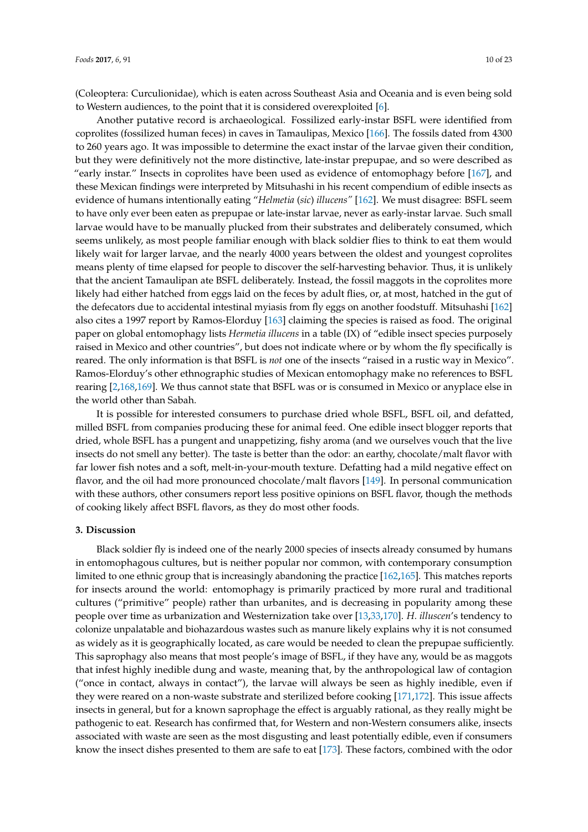(Coleoptera: Curculionidae), which is eaten across Southeast Asia and Oceania and is even being sold to Western audiences, to the point that it is considered overexploited [\[6\]](#page-13-15).

Another putative record is archaeological. Fossilized early-instar BSFL were identified from coprolites (fossilized human feces) in caves in Tamaulipas, Mexico [\[166\]](#page-20-21). The fossils dated from 4300 to 260 years ago. It was impossible to determine the exact instar of the larvae given their condition, but they were definitively not the more distinctive, late-instar prepupae, and so were described as "early instar." Insects in coprolites have been used as evidence of entomophagy before [\[167\]](#page-20-22), and these Mexican findings were interpreted by Mitsuhashi in his recent compendium of edible insects as evidence of humans intentionally eating "*Helmetia* (*sic*) *illucens"* [\[162\]](#page-20-17). We must disagree: BSFL seem to have only ever been eaten as prepupae or late-instar larvae, never as early-instar larvae. Such small larvae would have to be manually plucked from their substrates and deliberately consumed, which seems unlikely, as most people familiar enough with black soldier flies to think to eat them would likely wait for larger larvae, and the nearly 4000 years between the oldest and youngest coprolites means plenty of time elapsed for people to discover the self-harvesting behavior. Thus, it is unlikely that the ancient Tamaulipan ate BSFL deliberately. Instead, the fossil maggots in the coprolites more likely had either hatched from eggs laid on the feces by adult flies, or, at most, hatched in the gut of the defecators due to accidental intestinal myiasis from fly eggs on another foodstuff. Mitsuhashi [\[162\]](#page-20-17) also cites a 1997 report by Ramos-Elorduy [\[163\]](#page-20-18) claiming the species is raised as food. The original paper on global entomophagy lists *Hermetia illucens* in a table (IX) of "edible insect species purposely raised in Mexico and other countries", but does not indicate where or by whom the fly specifically is reared. The only information is that BSFL is *not* one of the insects "raised in a rustic way in Mexico". Ramos-Elorduy's other ethnographic studies of Mexican entomophagy make no references to BSFL rearing [\[2,](#page-13-17)[168,](#page-20-23)[169\]](#page-20-24). We thus cannot state that BSFL was or is consumed in Mexico or anyplace else in the world other than Sabah.

It is possible for interested consumers to purchase dried whole BSFL, BSFL oil, and defatted, milled BSFL from companies producing these for animal feed. One edible insect blogger reports that dried, whole BSFL has a pungent and unappetizing, fishy aroma (and we ourselves vouch that the live insects do not smell any better). The taste is better than the odor: an earthy, chocolate/malt flavor with far lower fish notes and a soft, melt-in-your-mouth texture. Defatting had a mild negative effect on flavor, and the oil had more pronounced chocolate/malt flavors [\[149\]](#page-20-4). In personal communication with these authors, other consumers report less positive opinions on BSFL flavor, though the methods of cooking likely affect BSFL flavors, as they do most other foods.

## **3. Discussion**

Black soldier fly is indeed one of the nearly 2000 species of insects already consumed by humans in entomophagous cultures, but is neither popular nor common, with contemporary consumption limited to one ethnic group that is increasingly abandoning the practice [\[162,](#page-20-17)[165\]](#page-20-20). This matches reports for insects around the world: entomophagy is primarily practiced by more rural and traditional cultures ("primitive" people) rather than urbanites, and is decreasing in popularity among these people over time as urbanization and Westernization take over [\[13](#page-13-13)[,33](#page-14-9)[,170\]](#page-21-0). *H. illuscen*'s tendency to colonize unpalatable and biohazardous wastes such as manure likely explains why it is not consumed as widely as it is geographically located, as care would be needed to clean the prepupae sufficiently. This saprophagy also means that most people's image of BSFL, if they have any, would be as maggots that infest highly inedible dung and waste, meaning that, by the anthropological law of contagion ("once in contact, always in contact"), the larvae will always be seen as highly inedible, even if they were reared on a non-waste substrate and sterilized before cooking [\[171](#page-21-1)[,172\]](#page-21-2). This issue affects insects in general, but for a known saprophage the effect is arguably rational, as they really might be pathogenic to eat. Research has confirmed that, for Western and non-Western consumers alike, insects associated with waste are seen as the most disgusting and least potentially edible, even if consumers know the insect dishes presented to them are safe to eat [\[173\]](#page-21-3). These factors, combined with the odor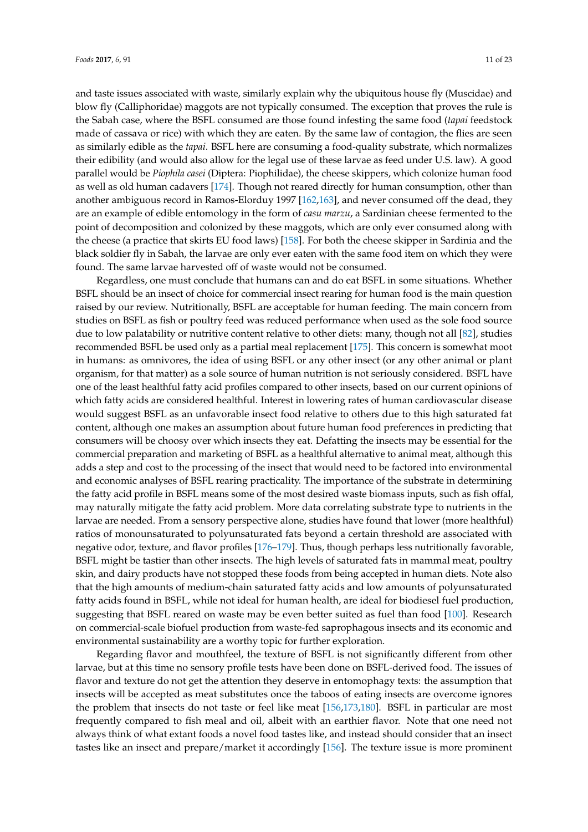and taste issues associated with waste, similarly explain why the ubiquitous house fly (Muscidae) and blow fly (Calliphoridae) maggots are not typically consumed. The exception that proves the rule is the Sabah case, where the BSFL consumed are those found infesting the same food (*tapai* feedstock made of cassava or rice) with which they are eaten. By the same law of contagion, the flies are seen as similarly edible as the *tapai*. BSFL here are consuming a food-quality substrate, which normalizes their edibility (and would also allow for the legal use of these larvae as feed under U.S. law). A good parallel would be *Piophila casei* (Diptera: Piophilidae), the cheese skippers, which colonize human food as well as old human cadavers [\[174\]](#page-21-4). Though not reared directly for human consumption, other than another ambiguous record in Ramos-Elorduy 1997 [\[162,](#page-20-17)[163\]](#page-20-18), and never consumed off the dead, they are an example of edible entomology in the form of *casu marzu*, a Sardinian cheese fermented to the point of decomposition and colonized by these maggots, which are only ever consumed along with the cheese (a practice that skirts EU food laws) [\[158\]](#page-20-13). For both the cheese skipper in Sardinia and the black soldier fly in Sabah, the larvae are only ever eaten with the same food item on which they were found. The same larvae harvested off of waste would not be consumed.

Regardless, one must conclude that humans can and do eat BSFL in some situations. Whether BSFL should be an insect of choice for commercial insect rearing for human food is the main question raised by our review. Nutritionally, BSFL are acceptable for human feeding. The main concern from studies on BSFL as fish or poultry feed was reduced performance when used as the sole food source due to low palatability or nutritive content relative to other diets: many, though not all [\[82\]](#page-16-15), studies recommended BSFL be used only as a partial meal replacement [\[175\]](#page-21-5). This concern is somewhat moot in humans: as omnivores, the idea of using BSFL or any other insect (or any other animal or plant organism, for that matter) as a sole source of human nutrition is not seriously considered. BSFL have one of the least healthful fatty acid profiles compared to other insects, based on our current opinions of which fatty acids are considered healthful. Interest in lowering rates of human cardiovascular disease would suggest BSFL as an unfavorable insect food relative to others due to this high saturated fat content, although one makes an assumption about future human food preferences in predicting that consumers will be choosy over which insects they eat. Defatting the insects may be essential for the commercial preparation and marketing of BSFL as a healthful alternative to animal meat, although this adds a step and cost to the processing of the insect that would need to be factored into environmental and economic analyses of BSFL rearing practicality. The importance of the substrate in determining the fatty acid profile in BSFL means some of the most desired waste biomass inputs, such as fish offal, may naturally mitigate the fatty acid problem. More data correlating substrate type to nutrients in the larvae are needed. From a sensory perspective alone, studies have found that lower (more healthful) ratios of monounsaturated to polyunsaturated fats beyond a certain threshold are associated with negative odor, texture, and flavor profiles [\[176–](#page-21-6)[179\]](#page-21-7). Thus, though perhaps less nutritionally favorable, BSFL might be tastier than other insects. The high levels of saturated fats in mammal meat, poultry skin, and dairy products have not stopped these foods from being accepted in human diets. Note also that the high amounts of medium-chain saturated fatty acids and low amounts of polyunsaturated fatty acids found in BSFL, while not ideal for human health, are ideal for biodiesel fuel production, suggesting that BSFL reared on waste may be even better suited as fuel than food [\[100\]](#page-17-16). Research on commercial-scale biofuel production from waste-fed saprophagous insects and its economic and environmental sustainability are a worthy topic for further exploration.

Regarding flavor and mouthfeel, the texture of BSFL is not significantly different from other larvae, but at this time no sensory profile tests have been done on BSFL-derived food. The issues of flavor and texture do not get the attention they deserve in entomophagy texts: the assumption that insects will be accepted as meat substitutes once the taboos of eating insects are overcome ignores the problem that insects do not taste or feel like meat [\[156,](#page-20-10)[173,](#page-21-3)[180\]](#page-21-8). BSFL in particular are most frequently compared to fish meal and oil, albeit with an earthier flavor. Note that one need not always think of what extant foods a novel food tastes like, and instead should consider that an insect tastes like an insect and prepare/market it accordingly [\[156\]](#page-20-10). The texture issue is more prominent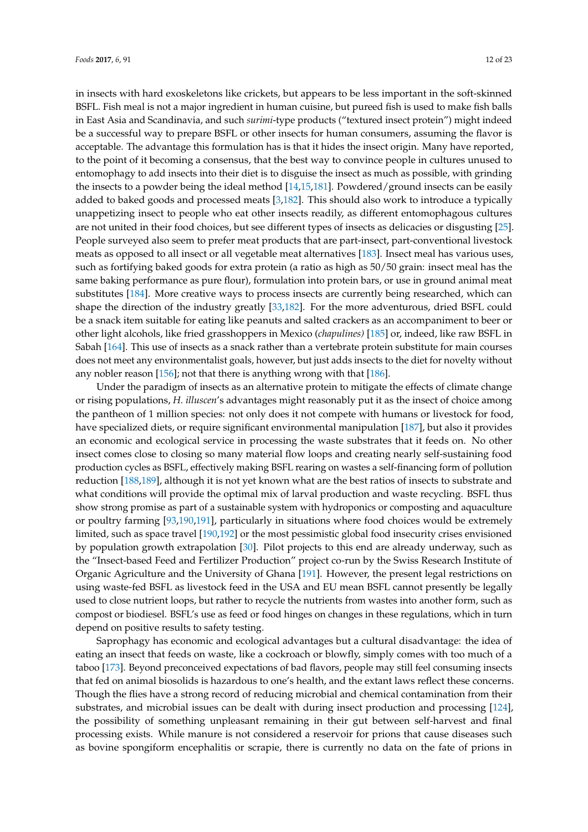in insects with hard exoskeletons like crickets, but appears to be less important in the soft-skinned BSFL. Fish meal is not a major ingredient in human cuisine, but pureed fish is used to make fish balls in East Asia and Scandinavia, and such *surimi*-type products ("textured insect protein") might indeed be a successful way to prepare BSFL or other insects for human consumers, assuming the flavor is acceptable. The advantage this formulation has is that it hides the insect origin. Many have reported, to the point of it becoming a consensus, that the best way to convince people in cultures unused to entomophagy to add insects into their diet is to disguise the insect as much as possible, with grinding the insects to a powder being the ideal method [\[14,](#page-13-16)[15,](#page-13-9)[181\]](#page-21-9). Powdered/ground insects can be easily added to baked goods and processed meats [\[3](#page-13-1)[,182\]](#page-21-10). This should also work to introduce a typically unappetizing insect to people who eat other insects readily, as different entomophagous cultures are not united in their food choices, but see different types of insects as delicacies or disgusting [\[25\]](#page-14-22). People surveyed also seem to prefer meat products that are part-insect, part-conventional livestock meats as opposed to all insect or all vegetable meat alternatives [\[183\]](#page-21-11). Insect meal has various uses, such as fortifying baked goods for extra protein (a ratio as high as 50/50 grain: insect meal has the same baking performance as pure flour), formulation into protein bars, or use in ground animal meat substitutes [\[184\]](#page-21-12). More creative ways to process insects are currently being researched, which can shape the direction of the industry greatly [\[33,](#page-14-9)[182\]](#page-21-10). For the more adventurous, dried BSFL could be a snack item suitable for eating like peanuts and salted crackers as an accompaniment to beer or other light alcohols, like fried grasshoppers in Mexico (*chapulines)* [\[185\]](#page-21-13) or, indeed, like raw BSFL in Sabah [\[164\]](#page-20-19). This use of insects as a snack rather than a vertebrate protein substitute for main courses does not meet any environmentalist goals, however, but just adds insects to the diet for novelty without any nobler reason [\[156\]](#page-20-10); not that there is anything wrong with that [\[186\]](#page-21-14).

Under the paradigm of insects as an alternative protein to mitigate the effects of climate change or rising populations, *H. illuscen*'s advantages might reasonably put it as the insect of choice among the pantheon of 1 million species: not only does it not compete with humans or livestock for food, have specialized diets, or require significant environmental manipulation [\[187\]](#page-21-15), but also it provides an economic and ecological service in processing the waste substrates that it feeds on. No other insect comes close to closing so many material flow loops and creating nearly self-sustaining food production cycles as BSFL, effectively making BSFL rearing on wastes a self-financing form of pollution reduction [\[188,](#page-21-16)[189\]](#page-21-17), although it is not yet known what are the best ratios of insects to substrate and what conditions will provide the optimal mix of larval production and waste recycling. BSFL thus show strong promise as part of a sustainable system with hydroponics or composting and aquaculture or poultry farming [\[93,](#page-17-9)[190,](#page-21-18)[191\]](#page-21-19), particularly in situations where food choices would be extremely limited, such as space travel [\[190](#page-21-18)[,192\]](#page-21-20) or the most pessimistic global food insecurity crises envisioned by population growth extrapolation [\[30\]](#page-14-6). Pilot projects to this end are already underway, such as the "Insect-based Feed and Fertilizer Production" project co-run by the Swiss Research Institute of Organic Agriculture and the University of Ghana [\[191\]](#page-21-19). However, the present legal restrictions on using waste-fed BSFL as livestock feed in the USA and EU mean BSFL cannot presently be legally used to close nutrient loops, but rather to recycle the nutrients from wastes into another form, such as compost or biodiesel. BSFL's use as feed or food hinges on changes in these regulations, which in turn depend on positive results to safety testing.

Saprophagy has economic and ecological advantages but a cultural disadvantage: the idea of eating an insect that feeds on waste, like a cockroach or blowfly, simply comes with too much of a taboo [\[173\]](#page-21-3). Beyond preconceived expectations of bad flavors, people may still feel consuming insects that fed on animal biosolids is hazardous to one's health, and the extant laws reflect these concerns. Though the flies have a strong record of reducing microbial and chemical contamination from their substrates, and microbial issues can be dealt with during insect production and processing [\[124\]](#page-19-0), the possibility of something unpleasant remaining in their gut between self-harvest and final processing exists. While manure is not considered a reservoir for prions that cause diseases such as bovine spongiform encephalitis or scrapie, there is currently no data on the fate of prions in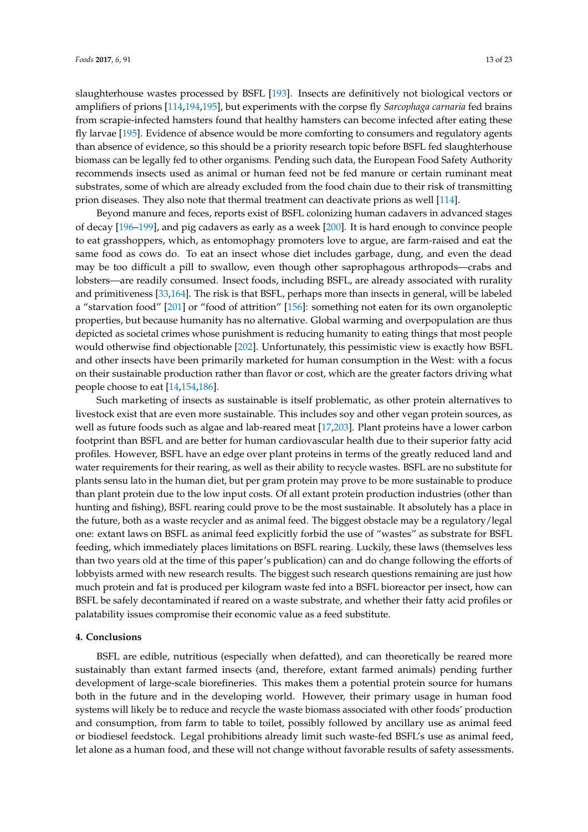slaughterhouse wastes processed by BSFL [\[193\]](#page-21-21). Insects are definitively not biological vectors or amplifiers of prions [\[114,](#page-18-9)[194](#page-22-0)[,195\]](#page-22-1), but experiments with the corpse fly *Sarcophaga carnaria* fed brains from scrapie-infected hamsters found that healthy hamsters can become infected after eating these fly larvae [\[195\]](#page-22-1). Evidence of absence would be more comforting to consumers and regulatory agents than absence of evidence, so this should be a priority research topic before BSFL fed slaughterhouse biomass can be legally fed to other organisms. Pending such data, the European Food Safety Authority recommends insects used as animal or human feed not be fed manure or certain ruminant meat substrates, some of which are already excluded from the food chain due to their risk of transmitting prion diseases. They also note that thermal treatment can deactivate prions as well [\[114\]](#page-18-9).

Beyond manure and feces, reports exist of BSFL colonizing human cadavers in advanced stages of decay [\[196](#page-22-2)[–199\]](#page-22-3), and pig cadavers as early as a week [\[200\]](#page-22-4). It is hard enough to convince people to eat grasshoppers, which, as entomophagy promoters love to argue, are farm-raised and eat the same food as cows do. To eat an insect whose diet includes garbage, dung, and even the dead may be too difficult a pill to swallow, even though other saprophagous arthropods—crabs and lobsters—are readily consumed. Insect foods, including BSFL, are already associated with rurality and primitiveness [\[33,](#page-14-9)[164\]](#page-20-19). The risk is that BSFL, perhaps more than insects in general, will be labeled a "starvation food" [\[201\]](#page-22-5) or "food of attrition" [\[156\]](#page-20-10): something not eaten for its own organoleptic properties, but because humanity has no alternative. Global warming and overpopulation are thus depicted as societal crimes whose punishment is reducing humanity to eating things that most people would otherwise find objectionable [\[202\]](#page-22-6). Unfortunately, this pessimistic view is exactly how BSFL and other insects have been primarily marketed for human consumption in the West: with a focus on their sustainable production rather than flavor or cost, which are the greater factors driving what people choose to eat [\[14,](#page-13-16)[154,](#page-20-9)[186\]](#page-21-14).

Such marketing of insects as sustainable is itself problematic, as other protein alternatives to livestock exist that are even more sustainable. This includes soy and other vegan protein sources, as well as future foods such as algae and lab-reared meat [\[17,](#page-13-11)[203\]](#page-22-7). Plant proteins have a lower carbon footprint than BSFL and are better for human cardiovascular health due to their superior fatty acid profiles. However, BSFL have an edge over plant proteins in terms of the greatly reduced land and water requirements for their rearing, as well as their ability to recycle wastes. BSFL are no substitute for plants sensu lato in the human diet, but per gram protein may prove to be more sustainable to produce than plant protein due to the low input costs. Of all extant protein production industries (other than hunting and fishing), BSFL rearing could prove to be the most sustainable. It absolutely has a place in the future, both as a waste recycler and as animal feed. The biggest obstacle may be a regulatory/legal one: extant laws on BSFL as animal feed explicitly forbid the use of "wastes" as substrate for BSFL feeding, which immediately places limitations on BSFL rearing. Luckily, these laws (themselves less than two years old at the time of this paper's publication) can and do change following the efforts of lobbyists armed with new research results. The biggest such research questions remaining are just how much protein and fat is produced per kilogram waste fed into a BSFL bioreactor per insect, how can BSFL be safely decontaminated if reared on a waste substrate, and whether their fatty acid profiles or palatability issues compromise their economic value as a feed substitute.

#### **4. Conclusions**

BSFL are edible, nutritious (especially when defatted), and can theoretically be reared more sustainably than extant farmed insects (and, therefore, extant farmed animals) pending further development of large-scale biorefineries. This makes them a potential protein source for humans both in the future and in the developing world. However, their primary usage in human food systems will likely be to reduce and recycle the waste biomass associated with other foods' production and consumption, from farm to table to toilet, possibly followed by ancillary use as animal feed or biodiesel feedstock. Legal prohibitions already limit such waste-fed BSFL's use as animal feed, let alone as a human food, and these will not change without favorable results of safety assessments.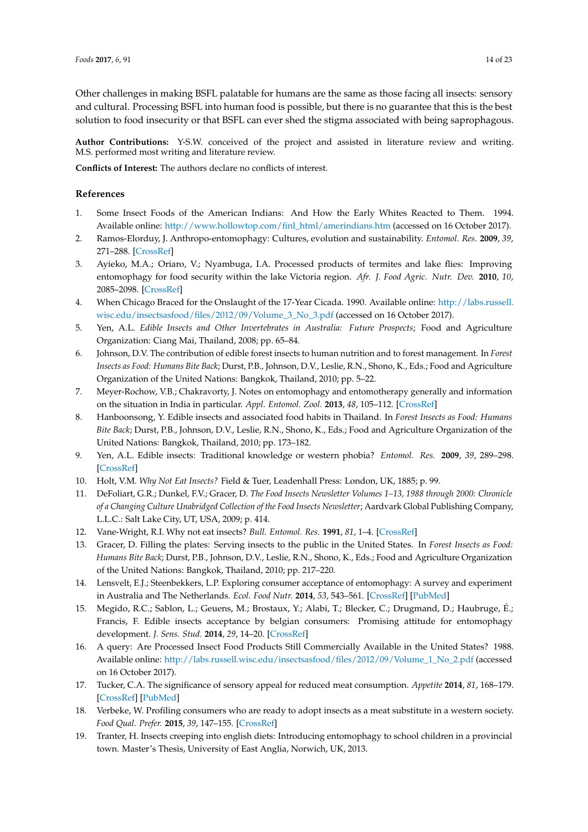Other challenges in making BSFL palatable for humans are the same as those facing all insects: sensory and cultural. Processing BSFL into human food is possible, but there is no guarantee that this is the best solution to food insecurity or that BSFL can ever shed the stigma associated with being saprophagous.

**Author Contributions:** Y-S.W. conceived of the project and assisted in literature review and writing. M.S. performed most writing and literature review.

**Conflicts of Interest:** The authors declare no conflicts of interest.

## **References**

- <span id="page-13-0"></span>1. Some Insect Foods of the American Indians: And How the Early Whites Reacted to Them. 1994. Available online: [http://www.hollowtop.com/finl\\_html/amerindians.htm](http://www.hollowtop.com/finl_html/amerindians.htm) (accessed on 16 October 2017).
- <span id="page-13-17"></span>2. Ramos-Elorduy, J. Anthropo-entomophagy: Cultures, evolution and sustainability. *Entomol. Res.* **2009**, *39*, 271–288. [\[CrossRef\]](http://dx.doi.org/10.1111/j.1748-5967.2009.00238.x)
- <span id="page-13-1"></span>3. Ayieko, M.A.; Oriaro, V.; Nyambuga, I.A. Processed products of termites and lake flies: Improving entomophagy for food security within the lake Victoria region. *Afr. J. Food Agric. Nutr. Dev.* **2010**, *10*, 2085–2098. [\[CrossRef\]](http://dx.doi.org/10.4314/ajfand.v10i2.53352)
- <span id="page-13-2"></span>4. When Chicago Braced for the Onslaught of the 17-Year Cicada. 1990. Available online: [http://labs.russell.](http://labs.russell.wisc.edu/insectsasfood/files/2012/09/Volume_3_No_3.pdf) [wisc.edu/insectsasfood/files/2012/09/Volume\\_3\\_No\\_3.pdf](http://labs.russell.wisc.edu/insectsasfood/files/2012/09/Volume_3_No_3.pdf) (accessed on 16 October 2017).
- 5. Yen, A.L. *Edible Insects and Other Invertebrates in Australia: Future Prospects*; Food and Agriculture Organization: Ciang Mai, Thailand, 2008; pp. 65–84.
- <span id="page-13-15"></span>6. Johnson, D.V. The contribution of edible forest insects to human nutrition and to forest management. In *Forest Insects as Food: Humans Bite Back*; Durst, P.B., Johnson, D.V., Leslie, R.N., Shono, K., Eds.; Food and Agriculture Organization of the United Nations: Bangkok, Thailand, 2010; pp. 5–22.
- <span id="page-13-3"></span>7. Meyer-Rochow, V.B.; Chakravorty, J. Notes on entomophagy and entomotherapy generally and information on the situation in India in particular. *Appl. Entomol. Zool.* **2013**, *48*, 105–112. [\[CrossRef\]](http://dx.doi.org/10.1007/s13355-013-0171-9)
- <span id="page-13-4"></span>8. Hanboonsong, Y. Edible insects and associated food habits in Thailand. In *Forest Insects as Food: Humans Bite Back*; Durst, P.B., Johnson, D.V., Leslie, R.N., Shono, K., Eds.; Food and Agriculture Organization of the United Nations: Bangkok, Thailand, 2010; pp. 173–182.
- <span id="page-13-5"></span>9. Yen, A.L. Edible insects: Traditional knowledge or western phobia? *Entomol. Res.* **2009**, *39*, 289–298. [\[CrossRef\]](http://dx.doi.org/10.1111/j.1748-5967.2009.00239.x)
- <span id="page-13-6"></span>10. Holt, V.M. *Why Not Eat Insects?* Field & Tuer, Leadenhall Press: London, UK, 1885; p. 99.
- <span id="page-13-7"></span>11. DeFoliart, G.R.; Dunkel, F.V.; Gracer, D. *The Food Insects Newsletter Volumes 1–13, 1988 through 2000: Chronicle of a Changing Culture Unabridged Collection of the Food Insects Newsletter*; Aardvark Global Publishing Company, L.L.C.: Salt Lake City, UT, USA, 2009; p. 414.
- <span id="page-13-8"></span>12. Vane-Wright, R.I. Why not eat insects? *Bull. Entomol. Res.* **1991**, *81*, 1–4. [\[CrossRef\]](http://dx.doi.org/10.1017/S0007485300053165)
- <span id="page-13-13"></span>13. Gracer, D. Filling the plates: Serving insects to the public in the United States. In *Forest Insects as Food: Humans Bite Back*; Durst, P.B., Johnson, D.V., Leslie, R.N., Shono, K., Eds.; Food and Agriculture Organization of the United Nations: Bangkok, Thailand, 2010; pp. 217–220.
- <span id="page-13-16"></span>14. Lensvelt, E.J.; Steenbekkers, L.P. Exploring consumer acceptance of entomophagy: A survey and experiment in Australia and The Netherlands. *Ecol. Food Nutr.* **2014**, *53*, 543–561. [\[CrossRef\]](http://dx.doi.org/10.1080/03670244.2013.879865) [\[PubMed\]](http://www.ncbi.nlm.nih.gov/pubmed/25105864)
- <span id="page-13-9"></span>15. Megido, R.C.; Sablon, L.; Geuens, M.; Brostaux, Y.; Alabi, T.; Blecker, C.; Drugmand, D.; Haubruge, É.; Francis, F. Edible insects acceptance by belgian consumers: Promising attitude for entomophagy development. *J. Sens. Stud.* **2014**, *29*, 14–20. [\[CrossRef\]](http://dx.doi.org/10.1111/joss.12077)
- <span id="page-13-10"></span>16. A query: Are Processed Insect Food Products Still Commercially Available in the United States? 1988. Available online: [http://labs.russell.wisc.edu/insectsasfood/files/2012/09/Volume\\_1\\_No\\_2.pdf](http://labs.russell.wisc.edu/insectsasfood/files/2012/09/Volume_1_No_2.pdf) (accessed on 16 October 2017).
- <span id="page-13-11"></span>17. Tucker, C.A. The significance of sensory appeal for reduced meat consumption. *Appetite* **2014**, *81*, 168–179. [\[CrossRef\]](http://dx.doi.org/10.1016/j.appet.2014.06.022) [\[PubMed\]](http://www.ncbi.nlm.nih.gov/pubmed/24953197)
- <span id="page-13-12"></span>18. Verbeke, W. Profiling consumers who are ready to adopt insects as a meat substitute in a western society. *Food Qual. Prefer.* **2015**, *39*, 147–155. [\[CrossRef\]](http://dx.doi.org/10.1016/j.foodqual.2014.07.008)
- <span id="page-13-14"></span>19. Tranter, H. Insects creeping into english diets: Introducing entomophagy to school children in a provincial town. Master's Thesis, University of East Anglia, Norwich, UK, 2013.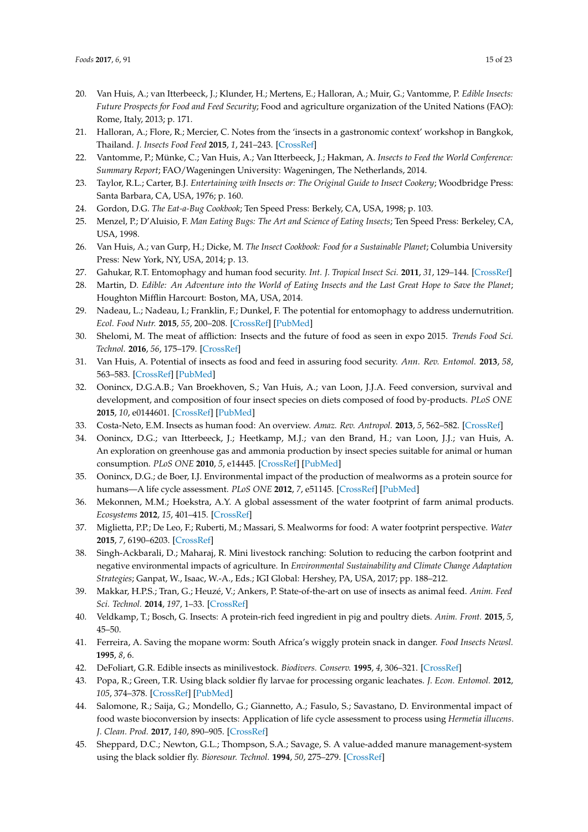- <span id="page-14-0"></span>20. Van Huis, A.; van Itterbeeck, J.; Klunder, H.; Mertens, E.; Halloran, A.; Muir, G.; Vantomme, P. *Edible Insects: Future Prospects for Food and Feed Security*; Food and agriculture organization of the United Nations (FAO): Rome, Italy, 2013; p. 171.
- 21. Halloran, A.; Flore, R.; Mercier, C. Notes from the 'insects in a gastronomic context' workshop in Bangkok, Thailand. *J. Insects Food Feed* **2015**, *1*, 241–243. [\[CrossRef\]](http://dx.doi.org/10.3920/JIFF2015.0070)
- <span id="page-14-1"></span>22. Vantomme, P.; Münke, C.; Van Huis, A.; Van Itterbeeck, J.; Hakman, A. *Insects to Feed the World Conference: Summary Report*; FAO/Wageningen University: Wageningen, The Netherlands, 2014.
- <span id="page-14-2"></span>23. Taylor, R.L.; Carter, B.J. *Entertaining with Insects or: The Original Guide to Insect Cookery*; Woodbridge Press: Santa Barbara, CA, USA, 1976; p. 160.
- 24. Gordon, D.G. *The Eat-a-Bug Cookbook*; Ten Speed Press: Berkely, CA, USA, 1998; p. 103.
- <span id="page-14-22"></span>25. Menzel, P.; D'Aluisio, F. *Man Eating Bugs: The Art and Science of Eating Insects*; Ten Speed Press: Berkeley, CA, USA, 1998.
- <span id="page-14-3"></span>26. Van Huis, A.; van Gurp, H.; Dicke, M. *The Insect Cookbook: Food for a Sustainable Planet*; Columbia University Press: New York, NY, USA, 2014; p. 13.
- <span id="page-14-4"></span>27. Gahukar, R.T. Entomophagy and human food security. *Int. J. Tropical Insect Sci.* **2011**, *31*, 129–144. [\[CrossRef\]](http://dx.doi.org/10.1017/S1742758411000257)
- 28. Martin, D. *Edible: An Adventure into the World of Eating Insects and the Last Great Hope to Save the Planet*; Houghton Mifflin Harcourt: Boston, MA, USA, 2014.
- <span id="page-14-5"></span>29. Nadeau, L.; Nadeau, I.; Franklin, F.; Dunkel, F. The potential for entomophagy to address undernutrition. *Ecol. Food Nutr.* **2015**, *55*, 200–208. [\[CrossRef\]](http://dx.doi.org/10.1080/03670244.2014.930032) [\[PubMed\]](http://www.ncbi.nlm.nih.gov/pubmed/25401273)
- <span id="page-14-6"></span>30. Shelomi, M. The meat of affliction: Insects and the future of food as seen in expo 2015. *Trends Food Sci. Technol.* **2016**, *56*, 175–179. [\[CrossRef\]](http://dx.doi.org/10.1016/j.tifs.2016.08.004)
- <span id="page-14-7"></span>31. Van Huis, A. Potential of insects as food and feed in assuring food security. *Ann. Rev. Entomol.* **2013**, *58*, 563–583. [\[CrossRef\]](http://dx.doi.org/10.1146/annurev-ento-120811-153704) [\[PubMed\]](http://www.ncbi.nlm.nih.gov/pubmed/23020616)
- <span id="page-14-8"></span>32. Oonincx, D.G.A.B.; Van Broekhoven, S.; Van Huis, A.; van Loon, J.J.A. Feed conversion, survival and development, and composition of four insect species on diets composed of food by-products. *PLoS ONE* **2015**, *10*, e0144601. [\[CrossRef\]](http://dx.doi.org/10.1371/journal.pone.0144601) [\[PubMed\]](http://www.ncbi.nlm.nih.gov/pubmed/26699129)
- <span id="page-14-9"></span>33. Costa-Neto, E.M. Insects as human food: An overview. *Amaz. Rev. Antropol.* **2013**, *5*, 562–582. [\[CrossRef\]](http://dx.doi.org/10.18542/amazonica.v5i3.1564)
- <span id="page-14-10"></span>34. Oonincx, D.G.; van Itterbeeck, J.; Heetkamp, M.J.; van den Brand, H.; van Loon, J.J.; van Huis, A. An exploration on greenhouse gas and ammonia production by insect species suitable for animal or human consumption. *PLoS ONE* **2010**, *5*, e14445. [\[CrossRef\]](http://dx.doi.org/10.1371/journal.pone.0014445) [\[PubMed\]](http://www.ncbi.nlm.nih.gov/pubmed/21206900)
- <span id="page-14-11"></span>35. Oonincx, D.G.; de Boer, I.J. Environmental impact of the production of mealworms as a protein source for humans—A life cycle assessment. *PLoS ONE* **2012**, *7*, e51145. [\[CrossRef\]](http://dx.doi.org/10.1371/journal.pone.0051145) [\[PubMed\]](http://www.ncbi.nlm.nih.gov/pubmed/23284661)
- <span id="page-14-12"></span>36. Mekonnen, M.M.; Hoekstra, A.Y. A global assessment of the water footprint of farm animal products. *Ecosystems* **2012**, *15*, 401–415. [\[CrossRef\]](http://dx.doi.org/10.1007/s10021-011-9517-8)
- <span id="page-14-13"></span>37. Miglietta, P.P.; De Leo, F.; Ruberti, M.; Massari, S. Mealworms for food: A water footprint perspective. *Water* **2015**, *7*, 6190–6203. [\[CrossRef\]](http://dx.doi.org/10.3390/w7116190)
- <span id="page-14-14"></span>38. Singh-Ackbarali, D.; Maharaj, R. Mini livestock ranching: Solution to reducing the carbon footprint and negative environmental impacts of agriculture. In *Environmental Sustainability and Climate Change Adaptation Strategies*; Ganpat, W., Isaac, W.-A., Eds.; IGI Global: Hershey, PA, USA, 2017; pp. 188–212.
- <span id="page-14-15"></span>39. Makkar, H.P.S.; Tran, G.; Heuzé, V.; Ankers, P. State-of-the-art on use of insects as animal feed. *Anim. Feed Sci. Technol.* **2014**, *197*, 1–33. [\[CrossRef\]](http://dx.doi.org/10.1016/j.anifeedsci.2014.07.008)
- <span id="page-14-16"></span>40. Veldkamp, T.; Bosch, G. Insects: A protein-rich feed ingredient in pig and poultry diets. *Anim. Front.* **2015**, *5*, 45–50.
- <span id="page-14-17"></span>41. Ferreira, A. Saving the mopane worm: South Africa's wiggly protein snack in danger. *Food Insects Newsl.* **1995**, *8*, 6.
- <span id="page-14-18"></span>42. DeFoliart, G.R. Edible insects as minilivestock. *Biodivers. Conserv.* **1995**, *4*, 306–321. [\[CrossRef\]](http://dx.doi.org/10.1007/BF00055976)
- <span id="page-14-19"></span>43. Popa, R.; Green, T.R. Using black soldier fly larvae for processing organic leachates. *J. Econ. Entomol.* **2012**, *105*, 374–378. [\[CrossRef\]](http://dx.doi.org/10.1603/EC11192) [\[PubMed\]](http://www.ncbi.nlm.nih.gov/pubmed/22606806)
- <span id="page-14-20"></span>44. Salomone, R.; Saija, G.; Mondello, G.; Giannetto, A.; Fasulo, S.; Savastano, D. Environmental impact of food waste bioconversion by insects: Application of life cycle assessment to process using *Hermetia illucens*. *J. Clean. Prod.* **2017**, *140*, 890–905. [\[CrossRef\]](http://dx.doi.org/10.1016/j.jclepro.2016.06.154)
- <span id="page-14-21"></span>45. Sheppard, D.C.; Newton, G.L.; Thompson, S.A.; Savage, S. A value-added manure management-system using the black soldier fly. *Bioresour. Technol.* **1994**, *50*, 275–279. [\[CrossRef\]](http://dx.doi.org/10.1016/0960-8524(94)90102-3)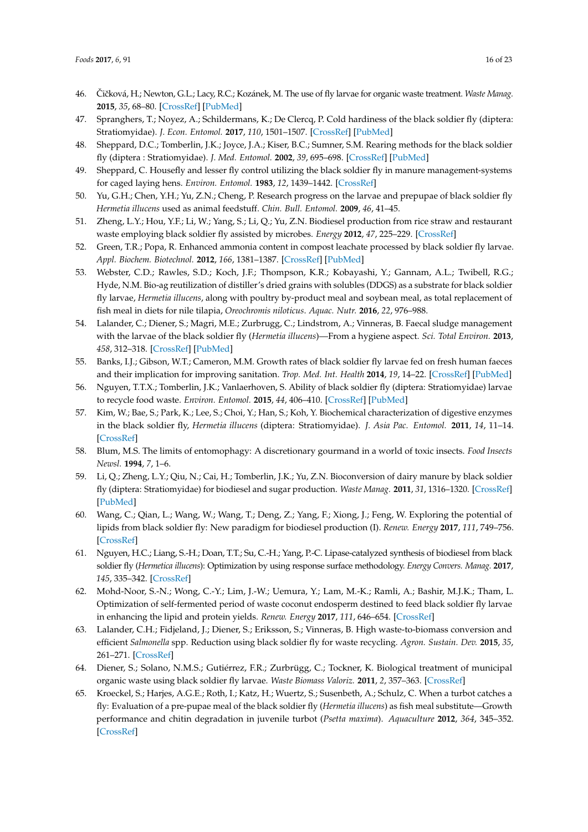- <span id="page-15-0"></span>46. Čičková, H.; Newton, G.L.; Lacy, R.C.; Kozánek, M. The use of fly larvae for organic waste treatment. *Waste Manag.* **2015**, *35*, 68–80. [\[CrossRef\]](http://dx.doi.org/10.1016/j.wasman.2014.09.026) [\[PubMed\]](http://www.ncbi.nlm.nih.gov/pubmed/25453313)
- <span id="page-15-1"></span>47. Spranghers, T.; Noyez, A.; Schildermans, K.; De Clercq, P. Cold hardiness of the black soldier fly (diptera: Stratiomyidae). *J. Econ. Entomol.* **2017**, *110*, 1501–1507. [\[CrossRef\]](http://dx.doi.org/10.1093/jee/tox142) [\[PubMed\]](http://www.ncbi.nlm.nih.gov/pubmed/28525620)
- <span id="page-15-2"></span>48. Sheppard, D.C.; Tomberlin, J.K.; Joyce, J.A.; Kiser, B.C.; Sumner, S.M. Rearing methods for the black soldier fly (diptera : Stratiomyidae). *J. Med. Entomol.* **2002**, *39*, 695–698. [\[CrossRef\]](http://dx.doi.org/10.1603/0022-2585-39.4.695) [\[PubMed\]](http://www.ncbi.nlm.nih.gov/pubmed/12144307)
- <span id="page-15-3"></span>49. Sheppard, C. Housefly and lesser fly control utilizing the black soldier fly in manure management-systems for caged laying hens. *Environ. Entomol.* **1983**, *12*, 1439–1442. [\[CrossRef\]](http://dx.doi.org/10.1093/ee/12.5.1439)
- <span id="page-15-4"></span>50. Yu, G.H.; Chen, Y.H.; Yu, Z.N.; Cheng, P. Research progress on the larvae and prepupae of black soldier fly *Hermetia illucens* used as animal feedstuff. *Chin. Bull. Entomol.* **2009**, *46*, 41–45.
- <span id="page-15-5"></span>51. Zheng, L.Y.; Hou, Y.F.; Li, W.; Yang, S.; Li, Q.; Yu, Z.N. Biodiesel production from rice straw and restaurant waste employing black soldier fly assisted by microbes. *Energy* **2012**, *47*, 225–229. [\[CrossRef\]](http://dx.doi.org/10.1016/j.energy.2012.09.006)
- <span id="page-15-6"></span>52. Green, T.R.; Popa, R. Enhanced ammonia content in compost leachate processed by black soldier fly larvae. *Appl. Biochem. Biotechnol.* **2012**, *166*, 1381–1387. [\[CrossRef\]](http://dx.doi.org/10.1007/s12010-011-9530-6) [\[PubMed\]](http://www.ncbi.nlm.nih.gov/pubmed/22238016)
- <span id="page-15-7"></span>53. Webster, C.D.; Rawles, S.D.; Koch, J.F.; Thompson, K.R.; Kobayashi, Y.; Gannam, A.L.; Twibell, R.G.; Hyde, N.M. Bio-ag reutilization of distiller's dried grains with solubles (DDGS) as a substrate for black soldier fly larvae, *Hermetia illucens*, along with poultry by-product meal and soybean meal, as total replacement of fish meal in diets for nile tilapia, *Oreochromis niloticus*. *Aquac. Nutr.* **2016**, *22*, 976–988.
- <span id="page-15-8"></span>54. Lalander, C.; Diener, S.; Magri, M.E.; Zurbrugg, C.; Lindstrom, A.; Vinneras, B. Faecal sludge management with the larvae of the black soldier fly (*Hermetia illucens*)—From a hygiene aspect. *Sci. Total Environ.* **2013**, *458*, 312–318. [\[CrossRef\]](http://dx.doi.org/10.1016/j.scitotenv.2013.04.033) [\[PubMed\]](http://www.ncbi.nlm.nih.gov/pubmed/23669577)
- <span id="page-15-9"></span>55. Banks, I.J.; Gibson, W.T.; Cameron, M.M. Growth rates of black soldier fly larvae fed on fresh human faeces and their implication for improving sanitation. *Trop. Med. Int. Health* **2014**, *19*, 14–22. [\[CrossRef\]](http://dx.doi.org/10.1111/tmi.12228) [\[PubMed\]](http://www.ncbi.nlm.nih.gov/pubmed/24261901)
- <span id="page-15-10"></span>56. Nguyen, T.T.X.; Tomberlin, J.K.; Vanlaerhoven, S. Ability of black soldier fly (diptera: Stratiomyidae) larvae to recycle food waste. *Environ. Entomol.* **2015**, *44*, 406–410. [\[CrossRef\]](http://dx.doi.org/10.1093/ee/nvv002) [\[PubMed\]](http://www.ncbi.nlm.nih.gov/pubmed/26313195)
- <span id="page-15-11"></span>57. Kim, W.; Bae, S.; Park, K.; Lee, S.; Choi, Y.; Han, S.; Koh, Y. Biochemical characterization of digestive enzymes in the black soldier fly, *Hermetia illucens* (diptera: Stratiomyidae). *J. Asia Pac. Entomol.* **2011**, *14*, 11–14. [\[CrossRef\]](http://dx.doi.org/10.1016/j.aspen.2010.11.003)
- <span id="page-15-12"></span>58. Blum, M.S. The limits of entomophagy: A discretionary gourmand in a world of toxic insects. *Food Insects Newsl.* **1994**, *7*, 1–6.
- <span id="page-15-13"></span>59. Li, Q.; Zheng, L.Y.; Qiu, N.; Cai, H.; Tomberlin, J.K.; Yu, Z.N. Bioconversion of dairy manure by black soldier fly (diptera: Stratiomyidae) for biodiesel and sugar production. *Waste Manag.* **2011**, *31*, 1316–1320. [\[CrossRef\]](http://dx.doi.org/10.1016/j.wasman.2011.01.005) [\[PubMed\]](http://www.ncbi.nlm.nih.gov/pubmed/21367596)
- 60. Wang, C.; Qian, L.; Wang, W.; Wang, T.; Deng, Z.; Yang, F.; Xiong, J.; Feng, W. Exploring the potential of lipids from black soldier fly: New paradigm for biodiesel production (I). *Renew. Energy* **2017**, *111*, 749–756. [\[CrossRef\]](http://dx.doi.org/10.1016/j.renene.2017.04.063)
- 61. Nguyen, H.C.; Liang, S.-H.; Doan, T.T.; Su, C.-H.; Yang, P.-C. Lipase-catalyzed synthesis of biodiesel from black soldier fly (*Hermetica illucens*): Optimization by using response surface methodology. *Energy Convers. Manag.* **2017**, *145*, 335–342. [\[CrossRef\]](http://dx.doi.org/10.1016/j.enconman.2017.05.010)
- <span id="page-15-14"></span>62. Mohd-Noor, S.-N.; Wong, C.-Y.; Lim, J.-W.; Uemura, Y.; Lam, M.-K.; Ramli, A.; Bashir, M.J.K.; Tham, L. Optimization of self-fermented period of waste coconut endosperm destined to feed black soldier fly larvae in enhancing the lipid and protein yields. *Renew. Energy* **2017**, *111*, 646–654. [\[CrossRef\]](http://dx.doi.org/10.1016/j.renene.2017.04.067)
- <span id="page-15-15"></span>63. Lalander, C.H.; Fidjeland, J.; Diener, S.; Eriksson, S.; Vinneras, B. High waste-to-biomass conversion and efficient *Salmonella* spp. Reduction using black soldier fly for waste recycling. *Agron. Sustain. Dev.* **2015**, *35*, 261–271. [\[CrossRef\]](http://dx.doi.org/10.1007/s13593-014-0235-4)
- <span id="page-15-16"></span>64. Diener, S.; Solano, N.M.S.; Gutiérrez, F.R.; Zurbrügg, C.; Tockner, K. Biological treatment of municipal organic waste using black soldier fly larvae. *Waste Biomass Valoriz.* **2011**, *2*, 357–363. [\[CrossRef\]](http://dx.doi.org/10.1007/s12649-011-9079-1)
- <span id="page-15-17"></span>65. Kroeckel, S.; Harjes, A.G.E.; Roth, I.; Katz, H.; Wuertz, S.; Susenbeth, A.; Schulz, C. When a turbot catches a fly: Evaluation of a pre-pupae meal of the black soldier fly (*Hermetia illucens*) as fish meal substitute—Growth performance and chitin degradation in juvenile turbot (*Psetta maxima*). *Aquaculture* **2012**, *364*, 345–352. [\[CrossRef\]](http://dx.doi.org/10.1016/j.aquaculture.2012.08.041)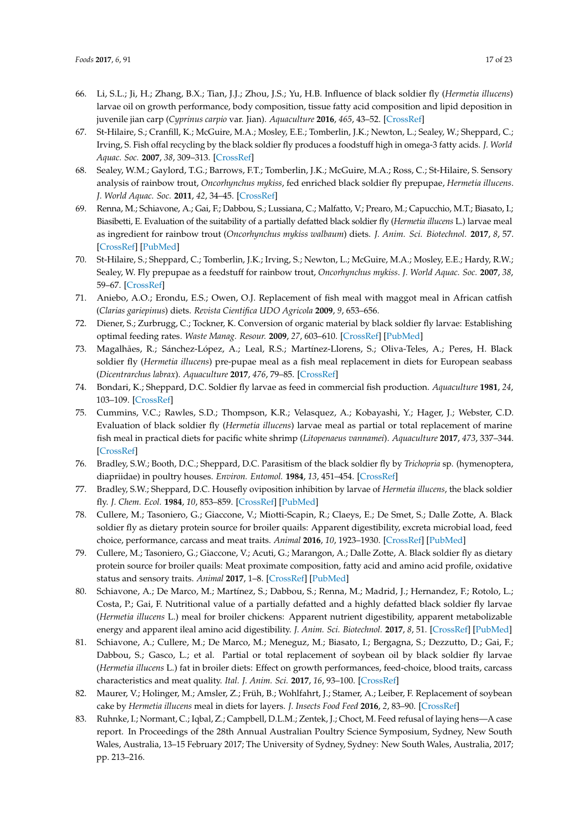- <span id="page-16-0"></span>66. Li, S.L.; Ji, H.; Zhang, B.X.; Tian, J.J.; Zhou, J.S.; Yu, H.B. Influence of black soldier fly (*Hermetia illucens*) larvae oil on growth performance, body composition, tissue fatty acid composition and lipid deposition in juvenile jian carp (*Cyprinus carpio* var. Jian). *Aquaculture* **2016**, *465*, 43–52. [\[CrossRef\]](http://dx.doi.org/10.1016/j.aquaculture.2016.08.020)
- <span id="page-16-1"></span>67. St-Hilaire, S.; Cranfill, K.; McGuire, M.A.; Mosley, E.E.; Tomberlin, J.K.; Newton, L.; Sealey, W.; Sheppard, C.; Irving, S. Fish offal recycling by the black soldier fly produces a foodstuff high in omega-3 fatty acids. *J. World Aquac. Soc.* **2007**, *38*, 309–313. [\[CrossRef\]](http://dx.doi.org/10.1111/j.1749-7345.2007.00101.x)
- <span id="page-16-2"></span>68. Sealey, W.M.; Gaylord, T.G.; Barrows, F.T.; Tomberlin, J.K.; McGuire, M.A.; Ross, C.; St-Hilaire, S. Sensory analysis of rainbow trout, *Oncorhynchus mykiss*, fed enriched black soldier fly prepupae, *Hermetia illucens*. *J. World Aquac. Soc.* **2011**, *42*, 34–45. [\[CrossRef\]](http://dx.doi.org/10.1111/j.1749-7345.2010.00441.x)
- <span id="page-16-3"></span>69. Renna, M.; Schiavone, A.; Gai, F.; Dabbou, S.; Lussiana, C.; Malfatto, V.; Prearo, M.; Capucchio, M.T.; Biasato, I.; Biasibetti, E. Evaluation of the suitability of a partially defatted black soldier fly (*Hermetia illucens* L.) larvae meal as ingredient for rainbow trout (*Oncorhynchus mykiss walbaum*) diets. *J. Anim. Sci. Biotechnol.* **2017**, *8*, 57. [\[CrossRef\]](http://dx.doi.org/10.1186/s40104-017-0191-3) [\[PubMed\]](http://www.ncbi.nlm.nih.gov/pubmed/28680591)
- <span id="page-16-4"></span>70. St-Hilaire, S.; Sheppard, C.; Tomberlin, J.K.; Irving, S.; Newton, L.; McGuire, M.A.; Mosley, E.E.; Hardy, R.W.; Sealey, W. Fly prepupae as a feedstuff for rainbow trout, *Oncorhynchus mykiss*. *J. World Aquac. Soc.* **2007**, *38*, 59–67. [\[CrossRef\]](http://dx.doi.org/10.1111/j.1749-7345.2006.00073.x)
- <span id="page-16-5"></span>71. Aniebo, A.O.; Erondu, E.S.; Owen, O.J. Replacement of fish meal with maggot meal in African catfish (*Clarias gariepinus*) diets. *Revista Cientifica UDO Agricola* **2009**, *9*, 653–656.
- <span id="page-16-6"></span>72. Diener, S.; Zurbrugg, C.; Tockner, K. Conversion of organic material by black soldier fly larvae: Establishing optimal feeding rates. *Waste Manag. Resour.* **2009**, *27*, 603–610. [\[CrossRef\]](http://dx.doi.org/10.1177/0734242X09103838) [\[PubMed\]](http://www.ncbi.nlm.nih.gov/pubmed/19502252)
- 73. Magalhães, R.; Sánchez-López, A.; Leal, R.S.; Martínez-Llorens, S.; Oliva-Teles, A.; Peres, H. Black soldier fly (*Hermetia illucens*) pre-pupae meal as a fish meal replacement in diets for European seabass (*Dicentrarchus labrax*). *Aquaculture* **2017**, *476*, 79–85. [\[CrossRef\]](http://dx.doi.org/10.1016/j.aquaculture.2017.04.021)
- <span id="page-16-7"></span>74. Bondari, K.; Sheppard, D.C. Soldier fly larvae as feed in commercial fish production. *Aquaculture* **1981**, *24*, 103–109. [\[CrossRef\]](http://dx.doi.org/10.1016/0044-8486(81)90047-8)
- <span id="page-16-8"></span>75. Cummins, V.C.; Rawles, S.D.; Thompson, K.R.; Velasquez, A.; Kobayashi, Y.; Hager, J.; Webster, C.D. Evaluation of black soldier fly (*Hermetia illucens*) larvae meal as partial or total replacement of marine fish meal in practical diets for pacific white shrimp (*Litopenaeus vannamei*). *Aquaculture* **2017**, *473*, 337–344. [\[CrossRef\]](http://dx.doi.org/10.1016/j.aquaculture.2017.02.022)
- <span id="page-16-9"></span>76. Bradley, S.W.; Booth, D.C.; Sheppard, D.C. Parasitism of the black soldier fly by *Trichopria* sp. (hymenoptera, diapriidae) in poultry houses. *Environ. Entomol.* **1984**, *13*, 451–454. [\[CrossRef\]](http://dx.doi.org/10.1093/ee/13.2.451)
- <span id="page-16-10"></span>77. Bradley, S.W.; Sheppard, D.C. Housefly oviposition inhibition by larvae of *Hermetia illucens*, the black soldier fly. *J. Chem. Ecol.* **1984**, *10*, 853–859. [\[CrossRef\]](http://dx.doi.org/10.1007/BF00987968) [\[PubMed\]](http://www.ncbi.nlm.nih.gov/pubmed/24318779)
- <span id="page-16-11"></span>78. Cullere, M.; Tasoniero, G.; Giaccone, V.; Miotti-Scapin, R.; Claeys, E.; De Smet, S.; Dalle Zotte, A. Black soldier fly as dietary protein source for broiler quails: Apparent digestibility, excreta microbial load, feed choice, performance, carcass and meat traits. *Animal* **2016**, *10*, 1923–1930. [\[CrossRef\]](http://dx.doi.org/10.1017/S1751731116001270) [\[PubMed\]](http://www.ncbi.nlm.nih.gov/pubmed/27339654)
- <span id="page-16-12"></span>79. Cullere, M.; Tasoniero, G.; Giaccone, V.; Acuti, G.; Marangon, A.; Dalle Zotte, A. Black soldier fly as dietary protein source for broiler quails: Meat proximate composition, fatty acid and amino acid profile, oxidative status and sensory traits. *Animal* **2017**, 1–8. [\[CrossRef\]](http://dx.doi.org/10.1017/S1751731117001860) [\[PubMed\]](http://www.ncbi.nlm.nih.gov/pubmed/28735587)
- <span id="page-16-13"></span>80. Schiavone, A.; De Marco, M.; Martínez, S.; Dabbou, S.; Renna, M.; Madrid, J.; Hernandez, F.; Rotolo, L.; Costa, P.; Gai, F. Nutritional value of a partially defatted and a highly defatted black soldier fly larvae (*Hermetia illucens* L.) meal for broiler chickens: Apparent nutrient digestibility, apparent metabolizable energy and apparent ileal amino acid digestibility. *J. Anim. Sci. Biotechnol.* **2017**, *8*, 51. [\[CrossRef\]](http://dx.doi.org/10.1186/s40104-017-0181-5) [\[PubMed\]](http://www.ncbi.nlm.nih.gov/pubmed/28603614)
- <span id="page-16-14"></span>81. Schiavone, A.; Cullere, M.; De Marco, M.; Meneguz, M.; Biasato, I.; Bergagna, S.; Dezzutto, D.; Gai, F.; Dabbou, S.; Gasco, L.; et al. Partial or total replacement of soybean oil by black soldier fly larvae (*Hermetia illucens* L.) fat in broiler diets: Effect on growth performances, feed-choice, blood traits, carcass characteristics and meat quality. *Ital. J. Anim. Sci.* **2017**, *16*, 93–100. [\[CrossRef\]](http://dx.doi.org/10.1080/1828051X.2016.1249968)
- <span id="page-16-15"></span>82. Maurer, V.; Holinger, M.; Amsler, Z.; Früh, B.; Wohlfahrt, J.; Stamer, A.; Leiber, F. Replacement of soybean cake by *Hermetia illucens* meal in diets for layers. *J. Insects Food Feed* **2016**, *2*, 83–90. [\[CrossRef\]](http://dx.doi.org/10.3920/JIFF2015.0071)
- <span id="page-16-16"></span>83. Ruhnke, I.; Normant, C.; Iqbal, Z.; Campbell, D.L.M.; Zentek, J.; Choct, M. Feed refusal of laying hens—A case report. In Proceedings of the 28th Annual Australian Poultry Science Symposium, Sydney, New South Wales, Australia, 13–15 February 2017; The University of Sydney, Sydney: New South Wales, Australia, 2017; pp. 213–216.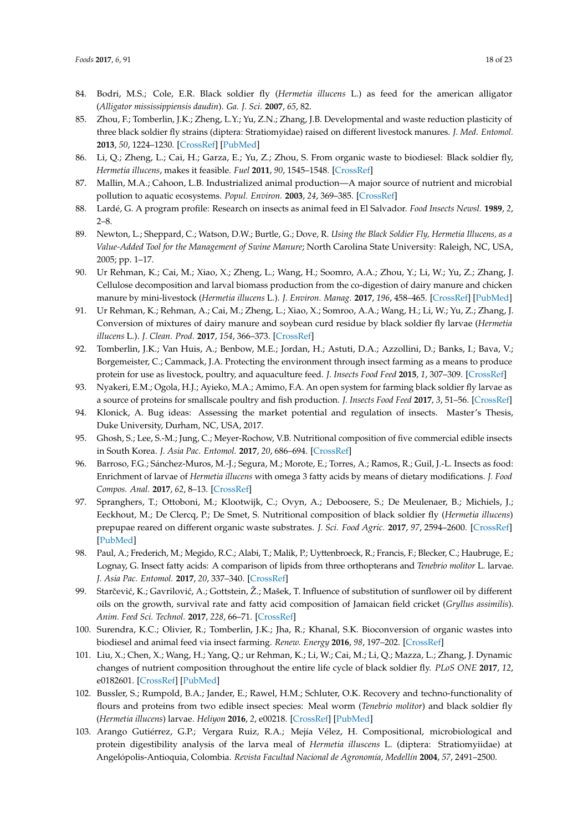- <span id="page-17-0"></span>84. Bodri, M.S.; Cole, E.R. Black soldier fly (*Hermetia illucens* L.) as feed for the american alligator (*Alligator mississippiensis daudin*). *Ga. J. Sci.* **2007**, *65*, 82.
- <span id="page-17-1"></span>85. Zhou, F.; Tomberlin, J.K.; Zheng, L.Y.; Yu, Z.N.; Zhang, J.B. Developmental and waste reduction plasticity of three black soldier fly strains (diptera: Stratiomyidae) raised on different livestock manures. *J. Med. Entomol.* **2013**, *50*, 1224–1230. [\[CrossRef\]](http://dx.doi.org/10.1603/ME13021) [\[PubMed\]](http://www.ncbi.nlm.nih.gov/pubmed/24843926)
- <span id="page-17-2"></span>86. Li, Q.; Zheng, L.; Cai, H.; Garza, E.; Yu, Z.; Zhou, S. From organic waste to biodiesel: Black soldier fly, *Hermetia illucens*, makes it feasible. *Fuel* **2011**, *90*, 1545–1548. [\[CrossRef\]](http://dx.doi.org/10.1016/j.fuel.2010.11.016)
- <span id="page-17-3"></span>87. Mallin, M.A.; Cahoon, L.B. Industrialized animal production—A major source of nutrient and microbial pollution to aquatic ecosystems. *Popul. Environ.* **2003**, *24*, 369–385. [\[CrossRef\]](http://dx.doi.org/10.1023/A:1023690824045)
- <span id="page-17-4"></span>88. Lardé, G. A program profile: Research on insects as animal feed in El Salvador. *Food Insects Newsl.* **1989**, *2*, 2–8.
- <span id="page-17-5"></span>89. Newton, L.; Sheppard, C.; Watson, D.W.; Burtle, G.; Dove, R. *Using the Black Soldier Fly, Hermetia Illucens, as a Value-Added Tool for the Management of Swine Manure*; North Carolina State University: Raleigh, NC, USA, 2005; pp. 1–17.
- <span id="page-17-6"></span>90. Ur Rehman, K.; Cai, M.; Xiao, X.; Zheng, L.; Wang, H.; Soomro, A.A.; Zhou, Y.; Li, W.; Yu, Z.; Zhang, J. Cellulose decomposition and larval biomass production from the co-digestion of dairy manure and chicken manure by mini-livestock (*Hermetia illucens* L.). *J. Environ. Manag.* **2017**, *196*, 458–465. [\[CrossRef\]](http://dx.doi.org/10.1016/j.jenvman.2017.03.047) [\[PubMed\]](http://www.ncbi.nlm.nih.gov/pubmed/28342340)
- <span id="page-17-7"></span>91. Ur Rehman, K.; Rehman, A.; Cai, M.; Zheng, L.; Xiao, X.; Somroo, A.A.; Wang, H.; Li, W.; Yu, Z.; Zhang, J. Conversion of mixtures of dairy manure and soybean curd residue by black soldier fly larvae (*Hermetia illucens* L.). *J. Clean. Prod.* **2017**, *154*, 366–373. [\[CrossRef\]](http://dx.doi.org/10.1016/j.jclepro.2017.04.019)
- <span id="page-17-8"></span>92. Tomberlin, J.K.; Van Huis, A.; Benbow, M.E.; Jordan, H.; Astuti, D.A.; Azzollini, D.; Banks, I.; Bava, V.; Borgemeister, C.; Cammack, J.A. Protecting the environment through insect farming as a means to produce protein for use as livestock, poultry, and aquaculture feed. *J. Insects Food Feed* **2015**, *1*, 307–309. [\[CrossRef\]](http://dx.doi.org/10.3920/JIFF2015.0098)
- <span id="page-17-9"></span>93. Nyakeri, E.M.; Ogola, H.J.; Ayieko, M.A.; Amimo, F.A. An open system for farming black soldier fly larvae as a source of proteins for smallscale poultry and fish production. *J. Insects Food Feed* **2017**, *3*, 51–56. [\[CrossRef\]](http://dx.doi.org/10.3920/JIFF2016.0030)
- <span id="page-17-10"></span>94. Klonick, A. Bug ideas: Assessing the market potential and regulation of insects. Master's Thesis, Duke University, Durham, NC, USA, 2017.
- <span id="page-17-11"></span>95. Ghosh, S.; Lee, S.-M.; Jung, C.; Meyer-Rochow, V.B. Nutritional composition of five commercial edible insects in South Korea. *J. Asia Pac. Entomol.* **2017**, *20*, 686–694. [\[CrossRef\]](http://dx.doi.org/10.1016/j.aspen.2017.04.003)
- <span id="page-17-12"></span>96. Barroso, F.G.; Sánchez-Muros, M.-J.; Segura, M.; Morote, E.; Torres, A.; Ramos, R.; Guil, J.-L. Insects as food: Enrichment of larvae of *Hermetia illucens* with omega 3 fatty acids by means of dietary modifications. *J. Food Compos. Anal.* **2017**, *62*, 8–13. [\[CrossRef\]](http://dx.doi.org/10.1016/j.jfca.2017.04.008)
- <span id="page-17-13"></span>97. Spranghers, T.; Ottoboni, M.; Klootwijk, C.; Ovyn, A.; Deboosere, S.; De Meulenaer, B.; Michiels, J.; Eeckhout, M.; De Clercq, P.; De Smet, S. Nutritional composition of black soldier fly (*Hermetia illucens*) prepupae reared on different organic waste substrates. *J. Sci. Food Agric.* **2017**, *97*, 2594–2600. [\[CrossRef\]](http://dx.doi.org/10.1002/jsfa.8081) [\[PubMed\]](http://www.ncbi.nlm.nih.gov/pubmed/27734508)
- <span id="page-17-14"></span>98. Paul, A.; Frederich, M.; Megido, R.C.; Alabi, T.; Malik, P.; Uyttenbroeck, R.; Francis, F.; Blecker, C.; Haubruge, E.; Lognay, G. Insect fatty acids: A comparison of lipids from three orthopterans and *Tenebrio molitor* L. larvae. *J. Asia Pac. Entomol.* **2017**, *20*, 337–340. [\[CrossRef\]](http://dx.doi.org/10.1016/j.aspen.2017.02.001)
- <span id="page-17-15"></span>99. Starčević, K.; Gavrilović, A.; Gottstein, Ž.; Mašek, T. Influence of substitution of sunflower oil by different oils on the growth, survival rate and fatty acid composition of Jamaican field cricket (*Gryllus assimilis*). *Anim. Feed Sci. Technol.* **2017**, *228*, 66–71. [\[CrossRef\]](http://dx.doi.org/10.1016/j.anifeedsci.2017.04.007)
- <span id="page-17-16"></span>100. Surendra, K.C.; Olivier, R.; Tomberlin, J.K.; Jha, R.; Khanal, S.K. Bioconversion of organic wastes into biodiesel and animal feed via insect farming. *Renew. Energy* **2016**, *98*, 197–202. [\[CrossRef\]](http://dx.doi.org/10.1016/j.renene.2016.03.022)
- <span id="page-17-17"></span>101. Liu, X.; Chen, X.; Wang, H.; Yang, Q.; ur Rehman, K.; Li, W.; Cai, M.; Li, Q.; Mazza, L.; Zhang, J. Dynamic changes of nutrient composition throughout the entire life cycle of black soldier fly. *PLoS ONE* **2017**, *12*, e0182601. [\[CrossRef\]](http://dx.doi.org/10.1371/journal.pone.0182601) [\[PubMed\]](http://www.ncbi.nlm.nih.gov/pubmed/28796830)
- <span id="page-17-18"></span>102. Bussler, S.; Rumpold, B.A.; Jander, E.; Rawel, H.M.; Schluter, O.K. Recovery and techno-functionality of flours and proteins from two edible insect species: Meal worm (*Tenebrio molitor*) and black soldier fly (*Hermetia illucens*) larvae. *Heliyon* **2016**, *2*, e00218. [\[CrossRef\]](http://dx.doi.org/10.1016/j.heliyon.2016.e00218) [\[PubMed\]](http://www.ncbi.nlm.nih.gov/pubmed/28054035)
- <span id="page-17-19"></span>103. Arango Gutiérrez, G.P.; Vergara Ruiz, R.A.; Mejía Vélez, H. Compositional, microbiological and protein digestibility analysis of the larva meal of *Hermetia illuscens* L. (diptera: Stratiomyiidae) at Angelópolis-Antioquia, Colombia. *Revista Facultad Nacional de Agronomía, Medellín* **2004**, *57*, 2491–2500.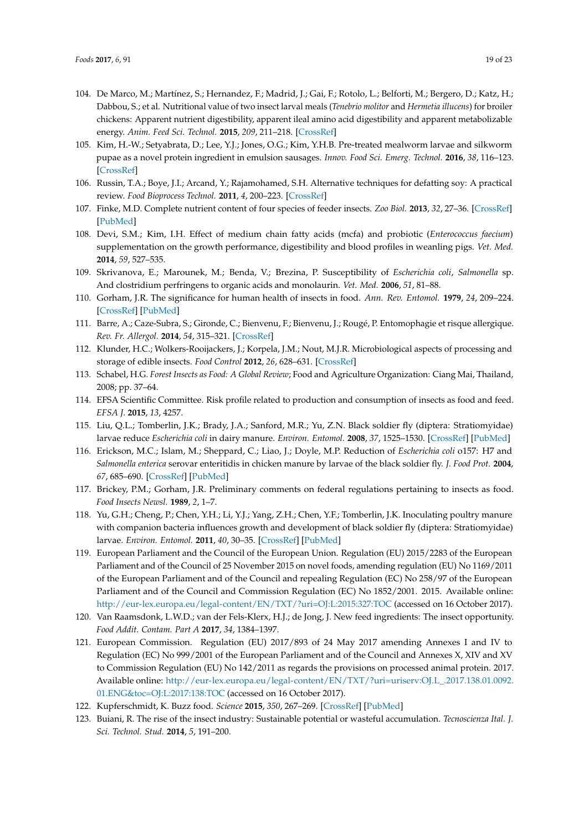- <span id="page-18-0"></span>104. De Marco, M.; Martínez, S.; Hernandez, F.; Madrid, J.; Gai, F.; Rotolo, L.; Belforti, M.; Bergero, D.; Katz, H.; Dabbou, S.; et al. Nutritional value of two insect larval meals (*Tenebrio molitor* and *Hermetia illucens*) for broiler chickens: Apparent nutrient digestibility, apparent ileal amino acid digestibility and apparent metabolizable energy. *Anim. Feed Sci. Technol.* **2015**, *209*, 211–218. [\[CrossRef\]](http://dx.doi.org/10.1016/j.anifeedsci.2015.08.006)
- <span id="page-18-1"></span>105. Kim, H.-W.; Setyabrata, D.; Lee, Y.J.; Jones, O.G.; Kim, Y.H.B. Pre-treated mealworm larvae and silkworm pupae as a novel protein ingredient in emulsion sausages. *Innov. Food Sci. Emerg. Technol.* **2016**, *38*, 116–123. [\[CrossRef\]](http://dx.doi.org/10.1016/j.ifset.2016.09.023)
- <span id="page-18-2"></span>106. Russin, T.A.; Boye, J.I.; Arcand, Y.; Rajamohamed, S.H. Alternative techniques for defatting soy: A practical review. *Food Bioprocess Technol.* **2011**, *4*, 200–223. [\[CrossRef\]](http://dx.doi.org/10.1007/s11947-010-0367-8)
- <span id="page-18-3"></span>107. Finke, M.D. Complete nutrient content of four species of feeder insects. *Zoo Biol.* **2013**, *32*, 27–36. [\[CrossRef\]](http://dx.doi.org/10.1002/zoo.21012) [\[PubMed\]](http://www.ncbi.nlm.nih.gov/pubmed/22689347)
- <span id="page-18-4"></span>108. Devi, S.M.; Kim, I.H. Effect of medium chain fatty acids (mcfa) and probiotic (*Enterococcus faecium*) supplementation on the growth performance, digestibility and blood profiles in weanling pigs. *Vet. Med.* **2014**, *59*, 527–535.
- <span id="page-18-5"></span>109. Skrivanova, E.; Marounek, M.; Benda, V.; Brezina, P. Susceptibility of *Escherichia coli*, *Salmonella* sp. And clostridium perfringens to organic acids and monolaurin. *Vet. Med.* **2006**, *51*, 81–88.
- <span id="page-18-6"></span>110. Gorham, J.R. The significance for human health of insects in food. *Ann. Rev. Entomol.* **1979**, *24*, 209–224. [\[CrossRef\]](http://dx.doi.org/10.1146/annurev.en.24.010179.001233) [\[PubMed\]](http://www.ncbi.nlm.nih.gov/pubmed/367264)
- <span id="page-18-7"></span>111. Barre, A.; Caze-Subra, S.; Gironde, C.; Bienvenu, F.; Bienvenu, J.; Rougé, P. Entomophagie et risque allergique. *Rev. Fr. Allergol.* **2014**, *54*, 315–321. [\[CrossRef\]](http://dx.doi.org/10.1016/j.reval.2014.02.181)
- <span id="page-18-8"></span>112. Klunder, H.C.; Wolkers-Rooijackers, J.; Korpela, J.M.; Nout, M.J.R. Microbiological aspects of processing and storage of edible insects. *Food Control* **2012**, *26*, 628–631. [\[CrossRef\]](http://dx.doi.org/10.1016/j.foodcont.2012.02.013)
- 113. Schabel, H.G. *Forest Insects as Food: A Global Review*; Food and Agriculture Organization: Ciang Mai, Thailand, 2008; pp. 37–64.
- <span id="page-18-9"></span>114. EFSA Scientific Committee. Risk profile related to production and consumption of insects as food and feed. *EFSA J.* **2015**, *13*, 4257.
- <span id="page-18-10"></span>115. Liu, Q.L.; Tomberlin, J.K.; Brady, J.A.; Sanford, M.R.; Yu, Z.N. Black soldier fly (diptera: Stratiomyidae) larvae reduce *Escherichia coli* in dairy manure. *Environ. Entomol.* **2008**, *37*, 1525–1530. [\[CrossRef\]](http://dx.doi.org/10.1603/0046-225X-37.6.1525) [\[PubMed\]](http://www.ncbi.nlm.nih.gov/pubmed/19161696)
- <span id="page-18-11"></span>116. Erickson, M.C.; Islam, M.; Sheppard, C.; Liao, J.; Doyle, M.P. Reduction of *Escherichia coli* o157: H7 and *Salmonella enterica* serovar enteritidis in chicken manure by larvae of the black soldier fly. *J. Food Prot.* **2004**, *67*, 685–690. [\[CrossRef\]](http://dx.doi.org/10.4315/0362-028X-67.4.685) [\[PubMed\]](http://www.ncbi.nlm.nih.gov/pubmed/15083719)
- <span id="page-18-12"></span>117. Brickey, P.M.; Gorham, J.R. Preliminary comments on federal regulations pertaining to insects as food. *Food Insects Newsl.* **1989**, *2*, 1–7.
- <span id="page-18-13"></span>118. Yu, G.H.; Cheng, P.; Chen, Y.H.; Li, Y.J.; Yang, Z.H.; Chen, Y.F.; Tomberlin, J.K. Inoculating poultry manure with companion bacteria influences growth and development of black soldier fly (diptera: Stratiomyidae) larvae. *Environ. Entomol.* **2011**, *40*, 30–35. [\[CrossRef\]](http://dx.doi.org/10.1603/EN10126) [\[PubMed\]](http://www.ncbi.nlm.nih.gov/pubmed/22182608)
- <span id="page-18-14"></span>119. European Parliament and the Council of the European Union. Regulation (EU) 2015/2283 of the European Parliament and of the Council of 25 November 2015 on novel foods, amending regulation (EU) No 1169/2011 of the European Parliament and of the Council and repealing Regulation (EC) No 258/97 of the European Parliament and of the Council and Commission Regulation (EC) No 1852/2001. 2015. Available online: <http://eur-lex.europa.eu/legal-content/EN/TXT/?uri=OJ:L:2015:327:TOC> (accessed on 16 October 2017).
- 120. Van Raamsdonk, L.W.D.; van der Fels-Klerx, H.J.; de Jong, J. New feed ingredients: The insect opportunity. *Food Addit. Contam. Part A* **2017**, *34*, 1384–1397.
- <span id="page-18-15"></span>121. European Commission. Regulation (EU) 2017/893 of 24 May 2017 amending Annexes I and IV to Regulation (EC) No 999/2001 of the European Parliament and of the Council and Annexes X, XIV and XV to Commission Regulation (EU) No 142/2011 as regards the provisions on processed animal protein. 2017. Available online: [http://eur-lex.europa.eu/legal-content/EN/TXT/?uri=uriserv:OJ.L\\_.2017.138.01.0092.](http://eur-lex.europa.eu/legal-content/EN/TXT/?uri=uriserv:OJ.L_.2017.138.01.0092.01.ENG&toc=OJ:L:2017:138:TOC ) [01.ENG&toc=OJ:L:2017:138:TOC](http://eur-lex.europa.eu/legal-content/EN/TXT/?uri=uriserv:OJ.L_.2017.138.01.0092.01.ENG&toc=OJ:L:2017:138:TOC ) (accessed on 16 October 2017).
- <span id="page-18-16"></span>122. Kupferschmidt, K. Buzz food. *Science* **2015**, *350*, 267–269. [\[CrossRef\]](http://dx.doi.org/10.1126/science.350.6258.267) [\[PubMed\]](http://www.ncbi.nlm.nih.gov/pubmed/26472890)
- <span id="page-18-17"></span>123. Buiani, R. The rise of the insect industry: Sustainable potential or wasteful accumulation. *Tecnoscienza Ital. J. Sci. Technol. Stud.* **2014**, *5*, 191–200.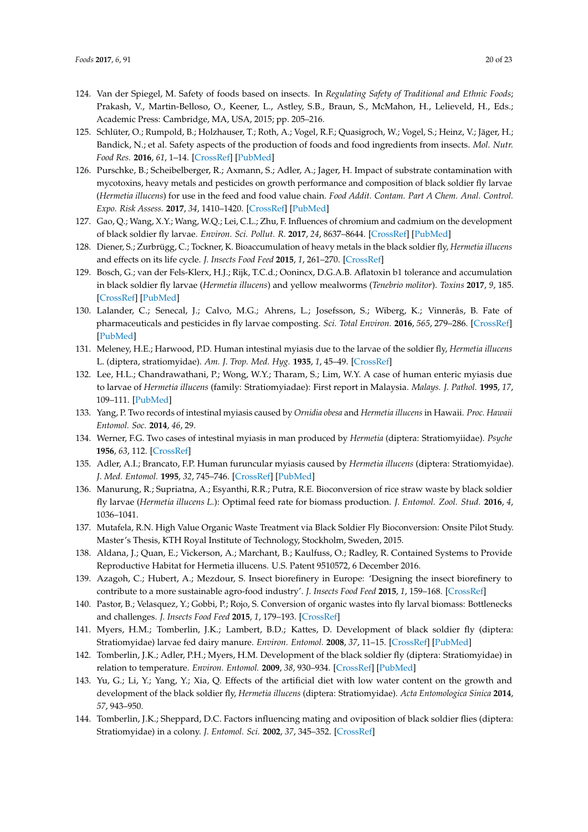- <span id="page-19-0"></span>124. Van der Spiegel, M. Safety of foods based on insects. In *Regulating Safety of Traditional and Ethnic Foods*; Prakash, V., Martin-Belloso, O., Keener, L., Astley, S.B., Braun, S., McMahon, H., Lelieveld, H., Eds.; Academic Press: Cambridge, MA, USA, 2015; pp. 205–216.
- <span id="page-19-1"></span>125. Schlüter, O.; Rumpold, B.; Holzhauser, T.; Roth, A.; Vogel, R.F.; Quasigroch, W.; Vogel, S.; Heinz, V.; Jäger, H.; Bandick, N.; et al. Safety aspects of the production of foods and food ingredients from insects. *Mol. Nutr. Food Res.* **2016**, *61*, 1–14. [\[CrossRef\]](http://dx.doi.org/10.1002/mnfr.201600520) [\[PubMed\]](http://www.ncbi.nlm.nih.gov/pubmed/27623740)
- <span id="page-19-2"></span>126. Purschke, B.; Scheibelberger, R.; Axmann, S.; Adler, A.; Jager, H. Impact of substrate contamination with mycotoxins, heavy metals and pesticides on growth performance and composition of black soldier fly larvae (*Hermetia illucens*) for use in the feed and food value chain. *Food Addit. Contam. Part A Chem. Anal. Control. Expo. Risk Assess.* **2017**, *34*, 1410–1420. [\[CrossRef\]](http://dx.doi.org/10.1080/19440049.2017.1299946) [\[PubMed\]](http://www.ncbi.nlm.nih.gov/pubmed/28278126)
- <span id="page-19-4"></span>127. Gao, Q.; Wang, X.Y.; Wang, W.Q.; Lei, C.L.; Zhu, F. Influences of chromium and cadmium on the development of black soldier fly larvae. *Environ. Sci. Pollut. R.* **2017**, *24*, 8637–8644. [\[CrossRef\]](http://dx.doi.org/10.1007/s11356-017-8550-3) [\[PubMed\]](http://www.ncbi.nlm.nih.gov/pubmed/28197942)
- <span id="page-19-3"></span>128. Diener, S.; Zurbrügg, C.; Tockner, K. Bioaccumulation of heavy metals in the black soldier fly, *Hermetia illucens* and effects on its life cycle. *J. Insects Food Feed* **2015**, *1*, 261–270. [\[CrossRef\]](http://dx.doi.org/10.3920/JIFF2015.0030)
- <span id="page-19-5"></span>129. Bosch, G.; van der Fels-Klerx, H.J.; Rijk, T.C.d.; Oonincx, D.G.A.B. Aflatoxin b1 tolerance and accumulation in black soldier fly larvae (*Hermetia illucens*) and yellow mealworms (*Tenebrio molitor*). *Toxins* **2017**, *9*, 185. [\[CrossRef\]](http://dx.doi.org/10.3390/toxins9060185) [\[PubMed\]](http://www.ncbi.nlm.nih.gov/pubmed/28574433)
- <span id="page-19-6"></span>130. Lalander, C.; Senecal, J.; Calvo, M.G.; Ahrens, L.; Josefsson, S.; Wiberg, K.; Vinnerås, B. Fate of pharmaceuticals and pesticides in fly larvae composting. *Sci. Total Environ.* **2016**, *565*, 279–286. [\[CrossRef\]](http://dx.doi.org/10.1016/j.scitotenv.2016.04.147) [\[PubMed\]](http://www.ncbi.nlm.nih.gov/pubmed/27177134)
- <span id="page-19-7"></span>131. Meleney, H.E.; Harwood, P.D. Human intestinal myiasis due to the larvae of the soldier fly, *Hermetia illucens* L. (diptera, stratiomyidae). *Am. J. Trop. Med. Hyg.* **1935**, *1*, 45–49. [\[CrossRef\]](http://dx.doi.org/10.4269/ajtmh.1935.s1-15.45)
- 132. Lee, H.L.; Chandrawathani, P.; Wong, W.Y.; Tharam, S.; Lim, W.Y. A case of human enteric myiasis due to larvae of *Hermetia illucens* (family: Stratiomyiadae): First report in Malaysia. *Malays. J. Pathol.* **1995**, *17*, 109–111. [\[PubMed\]](http://www.ncbi.nlm.nih.gov/pubmed/8935136)
- 133. Yang, P. Two records of intestinal myiasis caused by *Ornidia obesa* and *Hermetia illucens* in Hawaii. *Proc. Hawaii Entomol. Soc.* **2014**, *46*, 29.
- <span id="page-19-8"></span>134. Werner, F.G. Two cases of intestinal myiasis in man produced by *Hermetia* (diptera: Stratiomyiidae). *Psyche* **1956**, *63*, 112. [\[CrossRef\]](http://dx.doi.org/10.1155/1956/59195)
- <span id="page-19-9"></span>135. Adler, A.I.; Brancato, F.P. Human furuncular myiasis caused by *Hermetia illucens* (diptera: Stratiomyidae). *J. Med. Entomol.* **1995**, *32*, 745–746. [\[CrossRef\]](http://dx.doi.org/10.1093/jmedent/32.5.745) [\[PubMed\]](http://www.ncbi.nlm.nih.gov/pubmed/7473633)
- <span id="page-19-10"></span>136. Manurung, R.; Supriatna, A.; Esyanthi, R.R.; Putra, R.E. Bioconversion of rice straw waste by black soldier fly larvae (*Hermetia illucens L.*): Optimal feed rate for biomass production. *J. Entomol. Zool. Stud.* **2016**, *4*, 1036–1041.
- <span id="page-19-11"></span>137. Mutafela, R.N. High Value Organic Waste Treatment via Black Soldier Fly Bioconversion: Onsite Pilot Study. Master's Thesis, KTH Royal Institute of Technology, Stockholm, Sweden, 2015.
- <span id="page-19-12"></span>138. Aldana, J.; Quan, E.; Vickerson, A.; Marchant, B.; Kaulfuss, O.; Radley, R. Contained Systems to Provide Reproductive Habitat for Hermetia illucens. U.S. Patent 9510572, 6 December 2016.
- <span id="page-19-13"></span>139. Azagoh, C.; Hubert, A.; Mezdour, S. Insect biorefinery in Europe: 'Designing the insect biorefinery to contribute to a more sustainable agro-food industry'. *J. Insects Food Feed* **2015**, *1*, 159–168. [\[CrossRef\]](http://dx.doi.org/10.3920/JIFF2014.0009)
- <span id="page-19-14"></span>140. Pastor, B.; Velasquez, Y.; Gobbi, P.; Rojo, S. Conversion of organic wastes into fly larval biomass: Bottlenecks and challenges. *J. Insects Food Feed* **2015**, *1*, 179–193. [\[CrossRef\]](http://dx.doi.org/10.3920/JIFF2014.0024)
- <span id="page-19-15"></span>141. Myers, H.M.; Tomberlin, J.K.; Lambert, B.D.; Kattes, D. Development of black soldier fly (diptera: Stratiomyidae) larvae fed dairy manure. *Environ. Entomol.* **2008**, *37*, 11–15. [\[CrossRef\]](http://dx.doi.org/10.1093/ee/37.1.11) [\[PubMed\]](http://www.ncbi.nlm.nih.gov/pubmed/18348791)
- <span id="page-19-16"></span>142. Tomberlin, J.K.; Adler, P.H.; Myers, H.M. Development of the black soldier fly (diptera: Stratiomyidae) in relation to temperature. *Environ. Entomol.* **2009**, *38*, 930–934. [\[CrossRef\]](http://dx.doi.org/10.1603/022.038.0347) [\[PubMed\]](http://www.ncbi.nlm.nih.gov/pubmed/19508804)
- <span id="page-19-17"></span>143. Yu, G.; Li, Y.; Yang, Y.; Xia, Q. Effects of the artificial diet with low water content on the growth and development of the black soldier fly, *Hermetia illucens* (diptera: Stratiomyidae). *Acta Entomologica Sinica* **2014**, *57*, 943–950.
- <span id="page-19-18"></span>144. Tomberlin, J.K.; Sheppard, D.C. Factors influencing mating and oviposition of black soldier flies (diptera: Stratiomyidae) in a colony. *J. Entomol. Sci.* **2002**, *37*, 345–352. [\[CrossRef\]](http://dx.doi.org/10.18474/0749-8004-37.4.345)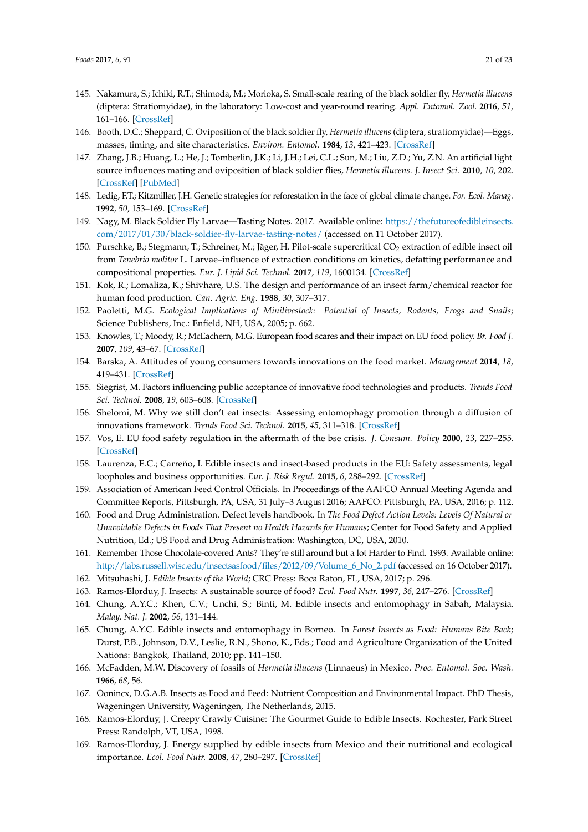- <span id="page-20-0"></span>145. Nakamura, S.; Ichiki, R.T.; Shimoda, M.; Morioka, S. Small-scale rearing of the black soldier fly, *Hermetia illucens* (diptera: Stratiomyidae), in the laboratory: Low-cost and year-round rearing. *Appl. Entomol. Zool.* **2016**, *51*, 161–166. [\[CrossRef\]](http://dx.doi.org/10.1007/s13355-015-0376-1)
- <span id="page-20-1"></span>146. Booth, D.C.; Sheppard, C. Oviposition of the black soldier fly, *Hermetia illucens* (diptera, stratiomyidae)—Eggs, masses, timing, and site characteristics. *Environ. Entomol.* **1984**, *13*, 421–423. [\[CrossRef\]](http://dx.doi.org/10.1093/ee/13.2.421)
- <span id="page-20-2"></span>147. Zhang, J.B.; Huang, L.; He, J.; Tomberlin, J.K.; Li, J.H.; Lei, C.L.; Sun, M.; Liu, Z.D.; Yu, Z.N. An artificial light source influences mating and oviposition of black soldier flies, *Hermetia illucens*. *J. Insect Sci.* **2010**, *10*, 202. [\[CrossRef\]](http://dx.doi.org/10.1673/031.010.20201) [\[PubMed\]](http://www.ncbi.nlm.nih.gov/pubmed/21268697)
- <span id="page-20-3"></span>148. Ledig, F.T.; Kitzmiller, J.H. Genetic strategies for reforestation in the face of global climate change. *For. Ecol. Manag.* **1992**, *50*, 153–169. [\[CrossRef\]](http://dx.doi.org/10.1016/0378-1127(92)90321-Y)
- <span id="page-20-4"></span>149. Nagy, M. Black Soldier Fly Larvae—Tasting Notes. 2017. Available online: [https://thefutureofedibleinsects.](https://thefutureofedibleinsects.com/2017/01/30/black-soldier-fly-larvae-tasting-notes/) [com/2017/01/30/black-soldier-fly-larvae-tasting-notes/](https://thefutureofedibleinsects.com/2017/01/30/black-soldier-fly-larvae-tasting-notes/) (accessed on 11 October 2017).
- <span id="page-20-5"></span>150. Purschke, B.; Stegmann, T.; Schreiner, M.; Jäger, H. Pilot-scale supercritical CO<sub>2</sub> extraction of edible insect oil from *Tenebrio molitor* L. Larvae–influence of extraction conditions on kinetics, defatting performance and compositional properties. *Eur. J. Lipid Sci. Technol.* **2017**, *119*, 1600134. [\[CrossRef\]](http://dx.doi.org/10.1002/ejlt.201600134)
- <span id="page-20-6"></span>151. Kok, R.; Lomaliza, K.; Shivhare, U.S. The design and performance of an insect farm/chemical reactor for human food production. *Can. Agric. Eng.* **1988**, *30*, 307–317.
- <span id="page-20-7"></span>152. Paoletti, M.G. *Ecological Implications of Minilivestock: Potential of Insects, Rodents, Frogs and Snails*; Science Publishers, Inc.: Enfield, NH, USA, 2005; p. 662.
- <span id="page-20-8"></span>153. Knowles, T.; Moody, R.; McEachern, M.G. European food scares and their impact on EU food policy. *Br. Food J.* **2007**, *109*, 43–67. [\[CrossRef\]](http://dx.doi.org/10.1108/00070700710718507)
- <span id="page-20-9"></span>154. Barska, A. Attitudes of young consumers towards innovations on the food market. *Management* **2014**, *18*, 419–431. [\[CrossRef\]](http://dx.doi.org/10.2478/manment-2014-0031)
- <span id="page-20-11"></span>155. Siegrist, M. Factors influencing public acceptance of innovative food technologies and products. *Trends Food Sci. Technol.* **2008**, *19*, 603–608. [\[CrossRef\]](http://dx.doi.org/10.1016/j.tifs.2008.01.017)
- <span id="page-20-10"></span>156. Shelomi, M. Why we still don't eat insects: Assessing entomophagy promotion through a diffusion of innovations framework. *Trends Food Sci. Technol.* **2015**, *45*, 311–318. [\[CrossRef\]](http://dx.doi.org/10.1016/j.tifs.2015.06.008)
- <span id="page-20-12"></span>157. Vos, E. EU food safety regulation in the aftermath of the bse crisis. *J. Consum. Policy* **2000**, *23*, 227–255. [\[CrossRef\]](http://dx.doi.org/10.1023/A:1007123502914)
- <span id="page-20-13"></span>158. Laurenza, E.C.; Carreño, I. Edible insects and insect-based products in the EU: Safety assessments, legal loopholes and business opportunities. *Eur. J. Risk Regul.* **2015**, *6*, 288–292. [\[CrossRef\]](http://dx.doi.org/10.1017/S1867299X00004591)
- <span id="page-20-14"></span>159. Association of American Feed Control Officials. In Proceedings of the AAFCO Annual Meeting Agenda and Committee Reports, Pittsburgh, PA, USA, 31 July–3 August 2016; AAFCO: Pittsburgh, PA, USA, 2016; p. 112.
- <span id="page-20-15"></span>160. Food and Drug Administration. Defect levels handbook. In *The Food Defect Action Levels: Levels Of Natural or Unavoidable Defects in Foods That Present no Health Hazards for Humans*; Center for Food Safety and Applied Nutrition, Ed.; US Food and Drug Administration: Washington, DC, USA, 2010.
- <span id="page-20-16"></span>161. Remember Those Chocolate-covered Ants? They're still around but a lot Harder to Find. 1993. Available online: [http://labs.russell.wisc.edu/insectsasfood/files/2012/09/Volume\\_6\\_No\\_2.pdf](http://labs.russell.wisc.edu/insectsasfood/files/2012/09/Volume_6_No_2.pdf) (accessed on 16 October 2017).
- <span id="page-20-17"></span>162. Mitsuhashi, J. *Edible Insects of the World*; CRC Press: Boca Raton, FL, USA, 2017; p. 296.
- <span id="page-20-18"></span>163. Ramos-Elorduy, J. Insects: A sustainable source of food? *Ecol. Food Nutr.* **1997**, *36*, 247–276. [\[CrossRef\]](http://dx.doi.org/10.1080/03670244.1997.9991519)
- <span id="page-20-19"></span>164. Chung, A.Y.C.; Khen, C.V.; Unchi, S.; Binti, M. Edible insects and entomophagy in Sabah, Malaysia. *Malay. Nat. J.* **2002**, *56*, 131–144.
- <span id="page-20-20"></span>165. Chung, A.Y.C. Edible insects and entomophagy in Borneo. In *Forest Insects as Food: Humans Bite Back*; Durst, P.B., Johnson, D.V., Leslie, R.N., Shono, K., Eds.; Food and Agriculture Organization of the United Nations: Bangkok, Thailand, 2010; pp. 141–150.
- <span id="page-20-21"></span>166. McFadden, M.W. Discovery of fossils of *Hermetia illucens* (Linnaeus) in Mexico. *Proc. Entomol. Soc. Wash.* **1966**, *68*, 56.
- <span id="page-20-22"></span>167. Oonincx, D.G.A.B. Insects as Food and Feed: Nutrient Composition and Environmental Impact. PhD Thesis, Wageningen University, Wageningen, The Netherlands, 2015.
- <span id="page-20-23"></span>168. Ramos-Elorduy, J. Creepy Crawly Cuisine: The Gourmet Guide to Edible Insects. Rochester, Park Street Press: Randolph, VT, USA, 1998.
- <span id="page-20-24"></span>169. Ramos-Elorduy, J. Energy supplied by edible insects from Mexico and their nutritional and ecological importance. *Ecol. Food Nutr.* **2008**, *47*, 280–297. [\[CrossRef\]](http://dx.doi.org/10.1080/03670240701805074)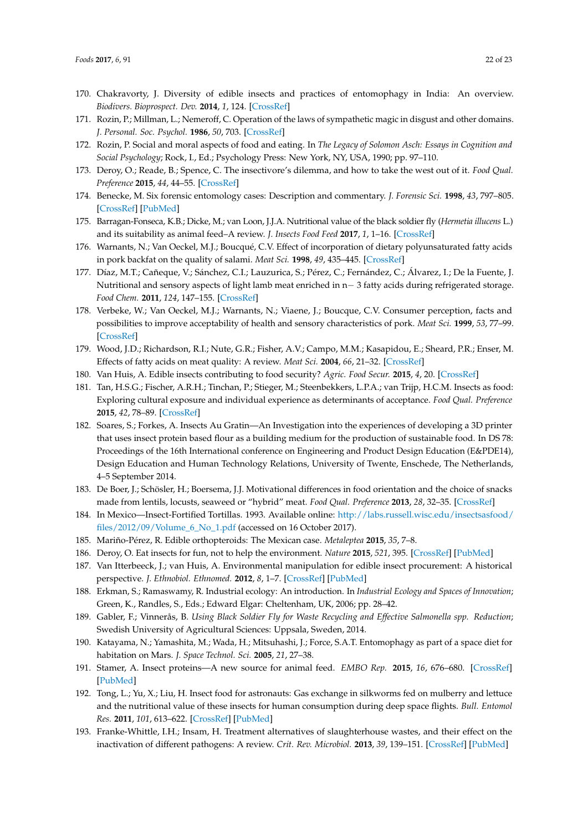- <span id="page-21-0"></span>170. Chakravorty, J. Diversity of edible insects and practices of entomophagy in India: An overview. *Biodivers. Bioprospect. Dev.* **2014**, *1*, 124. [\[CrossRef\]](http://dx.doi.org/10.4172/2376-0214.1000124)
- <span id="page-21-1"></span>171. Rozin, P.; Millman, L.; Nemeroff, C. Operation of the laws of sympathetic magic in disgust and other domains. *J. Personal. Soc. Psychol.* **1986**, *50*, 703. [\[CrossRef\]](http://dx.doi.org/10.1037/0022-3514.50.4.703)
- <span id="page-21-2"></span>172. Rozin, P. Social and moral aspects of food and eating. In *The Legacy of Solomon Asch: Essays in Cognition and Social Psychology*; Rock, I., Ed.; Psychology Press: New York, NY, USA, 1990; pp. 97–110.
- <span id="page-21-3"></span>173. Deroy, O.; Reade, B.; Spence, C. The insectivore's dilemma, and how to take the west out of it. *Food Qual. Preference* **2015**, *44*, 44–55. [\[CrossRef\]](http://dx.doi.org/10.1016/j.foodqual.2015.02.007)
- <span id="page-21-4"></span>174. Benecke, M. Six forensic entomology cases: Description and commentary. *J. Forensic Sci.* **1998**, *43*, 797–805. [\[CrossRef\]](http://dx.doi.org/10.1520/JFS14309J) [\[PubMed\]](http://www.ncbi.nlm.nih.gov/pubmed/9670502)
- <span id="page-21-5"></span>175. Barragan-Fonseca, K.B.; Dicke, M.; van Loon, J.J.A. Nutritional value of the black soldier fly (*Hermetia illucens* L.) and its suitability as animal feed–A review. *J. Insects Food Feed* **2017**, *1*, 1–16. [\[CrossRef\]](http://dx.doi.org/10.3920/JIFF2016.0055)
- <span id="page-21-6"></span>176. Warnants, N.; Van Oeckel, M.J.; Boucqué, C.V. Effect of incorporation of dietary polyunsaturated fatty acids in pork backfat on the quality of salami. *Meat Sci.* **1998**, *49*, 435–445. [\[CrossRef\]](http://dx.doi.org/10.1016/S0309-1740(98)00011-4)
- 177. Díaz, M.T.; Cañeque, V.; Sánchez, C.I.; Lauzurica, S.; Pérez, C.; Fernández, C.; Álvarez, I.; De la Fuente, J. Nutritional and sensory aspects of light lamb meat enriched in n− 3 fatty acids during refrigerated storage. *Food Chem.* **2011**, *124*, 147–155. [\[CrossRef\]](http://dx.doi.org/10.1016/j.foodchem.2010.05.117)
- 178. Verbeke, W.; Van Oeckel, M.J.; Warnants, N.; Viaene, J.; Boucque, C.V. Consumer perception, facts and possibilities to improve acceptability of health and sensory characteristics of pork. *Meat Sci.* **1999**, *53*, 77–99. [\[CrossRef\]](http://dx.doi.org/10.1016/S0309-1740(99)00036-4)
- <span id="page-21-7"></span>179. Wood, J.D.; Richardson, R.I.; Nute, G.R.; Fisher, A.V.; Campo, M.M.; Kasapidou, E.; Sheard, P.R.; Enser, M. Effects of fatty acids on meat quality: A review. *Meat Sci.* **2004**, *66*, 21–32. [\[CrossRef\]](http://dx.doi.org/10.1016/S0309-1740(03)00022-6)
- <span id="page-21-8"></span>180. Van Huis, A. Edible insects contributing to food security? *Agric. Food Secur.* **2015**, *4*, 20. [\[CrossRef\]](http://dx.doi.org/10.1186/s40066-015-0041-5)
- <span id="page-21-9"></span>181. Tan, H.S.G.; Fischer, A.R.H.; Tinchan, P.; Stieger, M.; Steenbekkers, L.P.A.; van Trijp, H.C.M. Insects as food: Exploring cultural exposure and individual experience as determinants of acceptance. *Food Qual. Preference* **2015**, *42*, 78–89. [\[CrossRef\]](http://dx.doi.org/10.1016/j.foodqual.2015.01.013)
- <span id="page-21-10"></span>182. Soares, S.; Forkes, A. Insects Au Gratin—An Investigation into the experiences of developing a 3D printer that uses insect protein based flour as a building medium for the production of sustainable food. In DS 78: Proceedings of the 16th International conference on Engineering and Product Design Education (E&PDE14), Design Education and Human Technology Relations, University of Twente, Enschede, The Netherlands, 4–5 September 2014.
- <span id="page-21-11"></span>183. De Boer, J.; Schösler, H.; Boersema, J.J. Motivational differences in food orientation and the choice of snacks made from lentils, locusts, seaweed or "hybrid" meat. *Food Qual. Preference* **2013**, *28*, 32–35. [\[CrossRef\]](http://dx.doi.org/10.1016/j.foodqual.2012.07.008)
- <span id="page-21-12"></span>184. In Mexico—Insect-Fortified Tortillas. 1993. Available online: [http://labs.russell.wisc.edu/insectsasfood/](http://labs.russell.wisc.edu/insectsasfood/files/2012/09/Volume_6_No_1.pdf) [files/2012/09/Volume\\_6\\_No\\_1.pdf](http://labs.russell.wisc.edu/insectsasfood/files/2012/09/Volume_6_No_1.pdf) (accessed on 16 October 2017).
- <span id="page-21-13"></span>185. Mariño-Pérez, R. Edible orthopteroids: The Mexican case. *Metaleptea* **2015**, *35*, 7–8.
- <span id="page-21-14"></span>186. Deroy, O. Eat insects for fun, not to help the environment. *Nature* **2015**, *521*, 395. [\[CrossRef\]](http://dx.doi.org/10.1038/521395a) [\[PubMed\]](http://www.ncbi.nlm.nih.gov/pubmed/26017408)
- <span id="page-21-15"></span>187. Van Itterbeeck, J.; van Huis, A. Environmental manipulation for edible insect procurement: A historical perspective. *J. Ethnobiol. Ethnomed.* **2012**, *8*, 1–7. [\[CrossRef\]](http://dx.doi.org/10.1186/1746-4269-8-3) [\[PubMed\]](http://www.ncbi.nlm.nih.gov/pubmed/22264307)
- <span id="page-21-16"></span>188. Erkman, S.; Ramaswamy, R. Industrial ecology: An introduction. In *Industrial Ecology and Spaces of Innovation*; Green, K., Randles, S., Eds.; Edward Elgar: Cheltenham, UK, 2006; pp. 28–42.
- <span id="page-21-17"></span>189. Gabler, F.; Vinnerås, B. *Using Black Soldier Fly for Waste Recycling and Effective Salmonella spp. Reduction*; Swedish University of Agricultural Sciences: Uppsala, Sweden, 2014.
- <span id="page-21-18"></span>190. Katayama, N.; Yamashita, M.; Wada, H.; Mitsuhashi, J.; Force, S.A.T. Entomophagy as part of a space diet for habitation on Mars. *J. Space Technol. Sci.* **2005**, *21*, 27–38.
- <span id="page-21-19"></span>191. Stamer, A. Insect proteins—A new source for animal feed. *EMBO Rep.* **2015**, *16*, 676–680. [\[CrossRef\]](http://dx.doi.org/10.15252/embr.201540528) [\[PubMed\]](http://www.ncbi.nlm.nih.gov/pubmed/25944641)
- <span id="page-21-20"></span>192. Tong, L.; Yu, X.; Liu, H. Insect food for astronauts: Gas exchange in silkworms fed on mulberry and lettuce and the nutritional value of these insects for human consumption during deep space flights. *Bull. Entomol Res.* **2011**, *101*, 613–622. [\[CrossRef\]](http://dx.doi.org/10.1017/S0007485311000228) [\[PubMed\]](http://www.ncbi.nlm.nih.gov/pubmed/21554801)
- <span id="page-21-21"></span>193. Franke-Whittle, I.H.; Insam, H. Treatment alternatives of slaughterhouse wastes, and their effect on the inactivation of different pathogens: A review. *Crit. Rev. Microbiol.* **2013**, *39*, 139–151. [\[CrossRef\]](http://dx.doi.org/10.3109/1040841X.2012.694410) [\[PubMed\]](http://www.ncbi.nlm.nih.gov/pubmed/22694189)